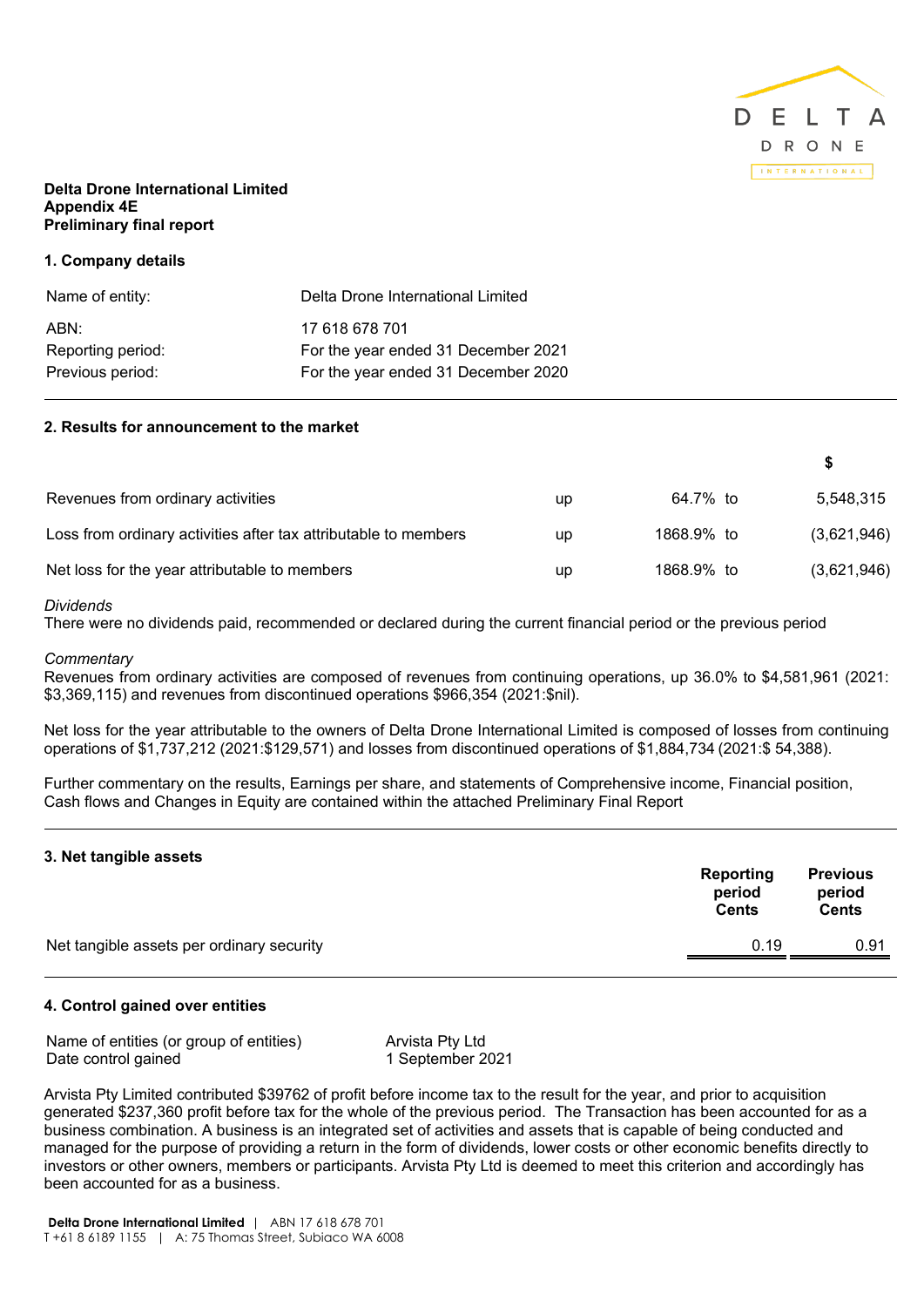

# **Delta Drone International Limited Appendix 4E Preliminary final report**

# **1. Company details**

| Name of entity:   | Delta Drone International Limited   |
|-------------------|-------------------------------------|
| ABN:              | 17 618 678 701                      |
| Reporting period: | For the year ended 31 December 2021 |
| Previous period:  | For the year ended 31 December 2020 |
|                   |                                     |

# **2. Results for announcement to the market**

| Revenues from ordinary activities                               | up | 64.7% to   | 5,548,315   |
|-----------------------------------------------------------------|----|------------|-------------|
| Loss from ordinary activities after tax attributable to members | up | 1868.9% to | (3,621,946) |
| Net loss for the year attributable to members                   | up | 1868.9% to | (3,621,946) |

# *Dividends*

There were no dividends paid, recommended or declared during the current financial period or the previous period

#### *Commentary*

Revenues from ordinary activities are composed of revenues from continuing operations, up 36.0% to \$4,581,961 (2021: \$3,369,115) and revenues from discontinued operations \$966,354 (2021:\$nil).

Net loss for the year attributable to the owners of Delta Drone International Limited is composed of losses from continuing operations of \$1,737,212 (2021:\$129,571) and losses from discontinued operations of \$1,884,734 (2021:\$ 54,388).

Further commentary on the results, Earnings per share, and statements of Comprehensive income, Financial position, Cash flows and Changes in Equity are contained within the attached Preliminary Final Report

# **3. Net tangible assets**

|                                           | Reporting<br>period<br><b>Cents</b> | <b>Previous</b><br>period<br>Cents |
|-------------------------------------------|-------------------------------------|------------------------------------|
| Net tangible assets per ordinary security | 0.19                                | 0.91                               |

# **4. Control gained over entities**

| Name of entities (or group of entities) | Arvista Pty Ltd  |
|-----------------------------------------|------------------|
| Date control gained                     | 1 September 2021 |

Arvista Pty Limited contributed \$39762 of profit before income tax to the result for the year, and prior to acquisition generated \$237,360 profit before tax for the whole of the previous period. The Transaction has been accounted for as a business combination. A business is an integrated set of activities and assets that is capable of being conducted and managed for the purpose of providing a return in the form of dividends, lower costs or other economic benefits directly to investors or other owners, members or participants. Arvista Pty Ltd is deemed to meet this criterion and accordingly has been accounted for as a business.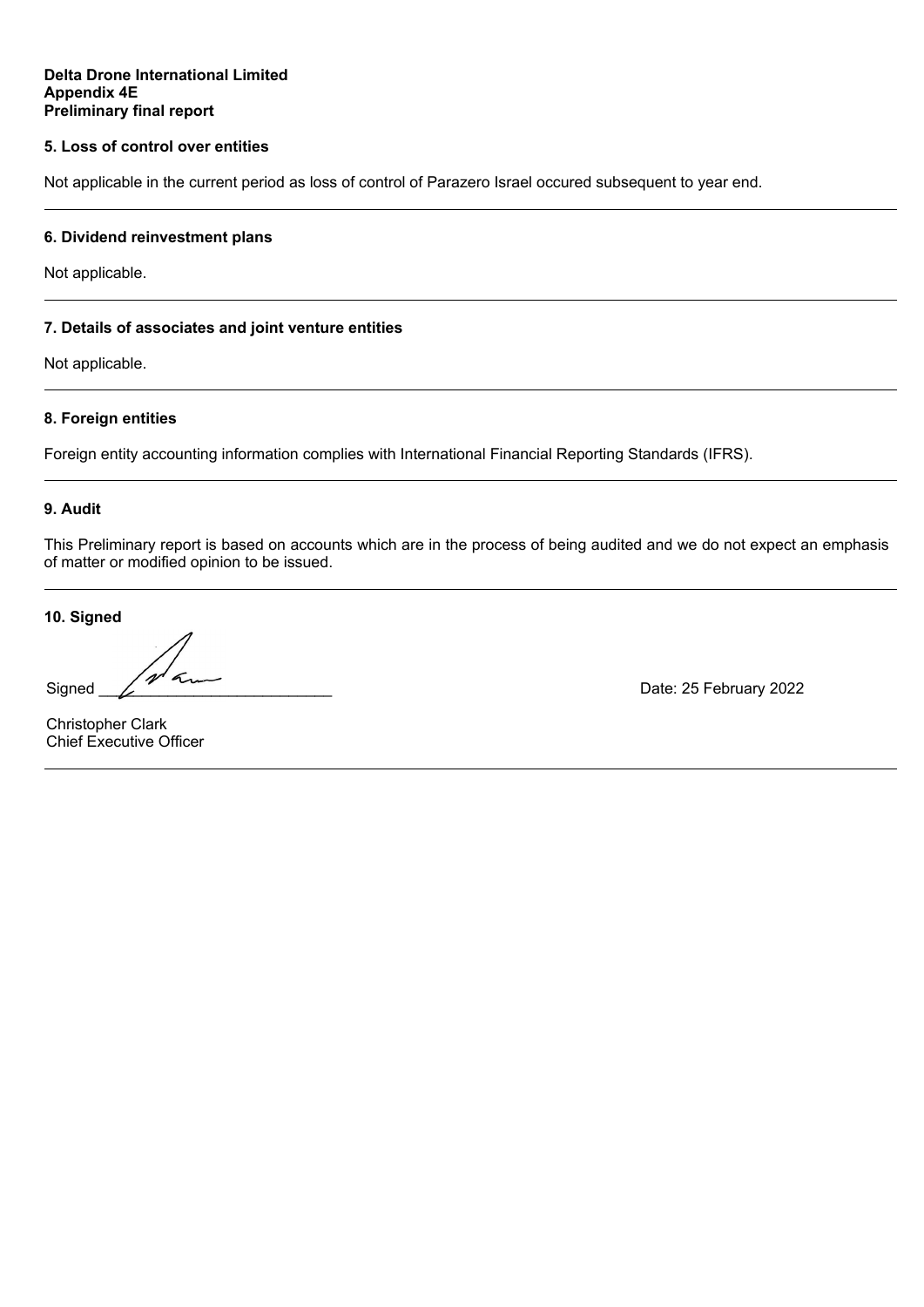# **5. Loss of control over entities**

Not applicable in the current period as loss of control of Parazero Israel occured subsequent to year end.

# **6. Dividend reinvestment plans**

Not applicable.

# **7. Details of associates and joint venture entities**

Not applicable.

# **8. Foreign entities**

Foreign entity accounting information complies with International Financial Reporting Standards (IFRS).

# **9. Audit**

This Preliminary report is based on accounts which are in the process of being audited and we do not expect an emphasis of matter or modified opinion to be issued.

**10. Signed**

 $\epsilon$ Signed \_\_\_\_\_\_\_\_\_\_\_\_\_\_\_\_\_\_\_\_\_\_\_\_\_\_\_ Date: 25 February 2022

Christopher Clark Chief Executive Officer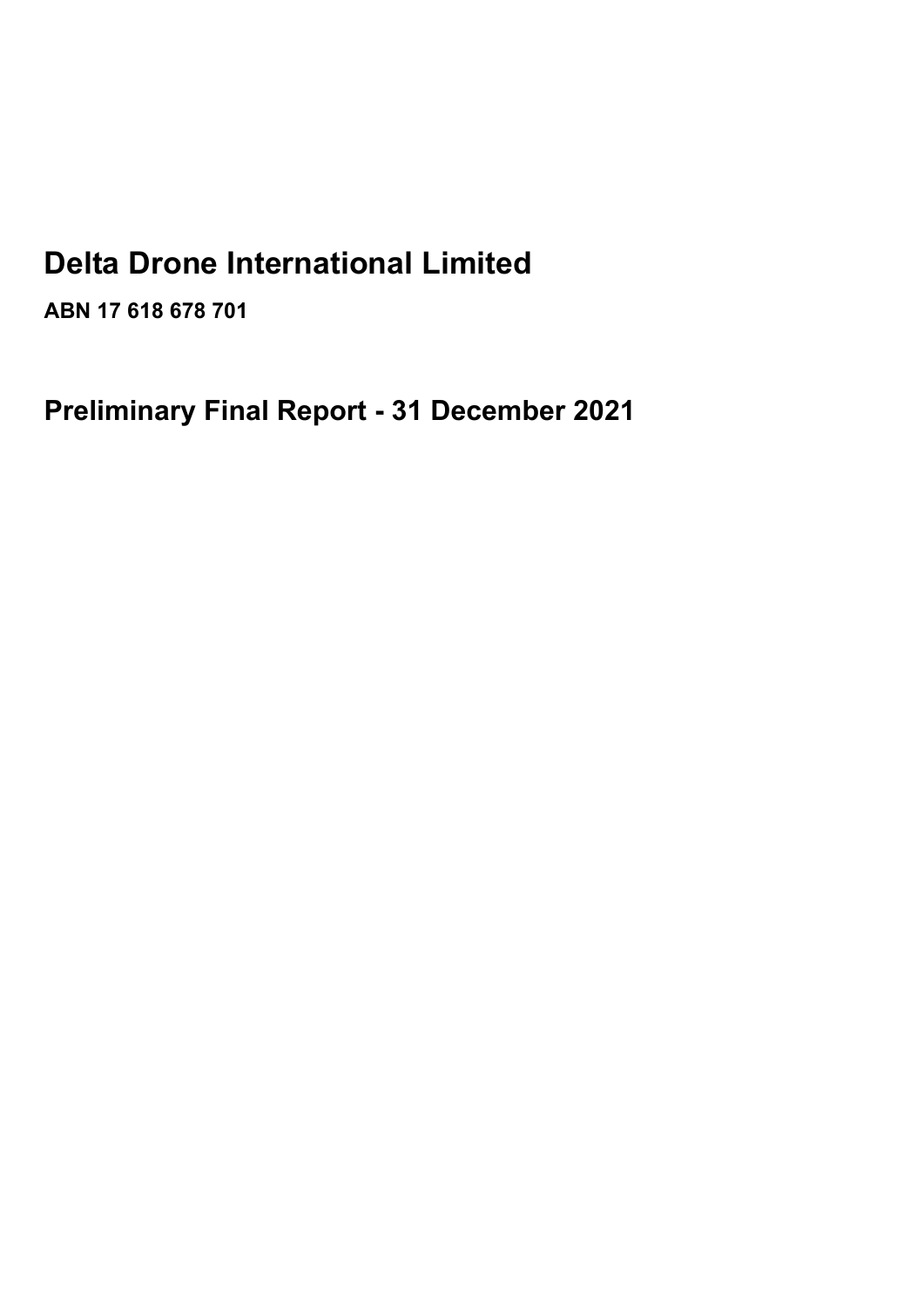# **Delta Drone International Limited**

**ABN 17 618 678 701**

**Preliminary Final Report - 31 December 2021**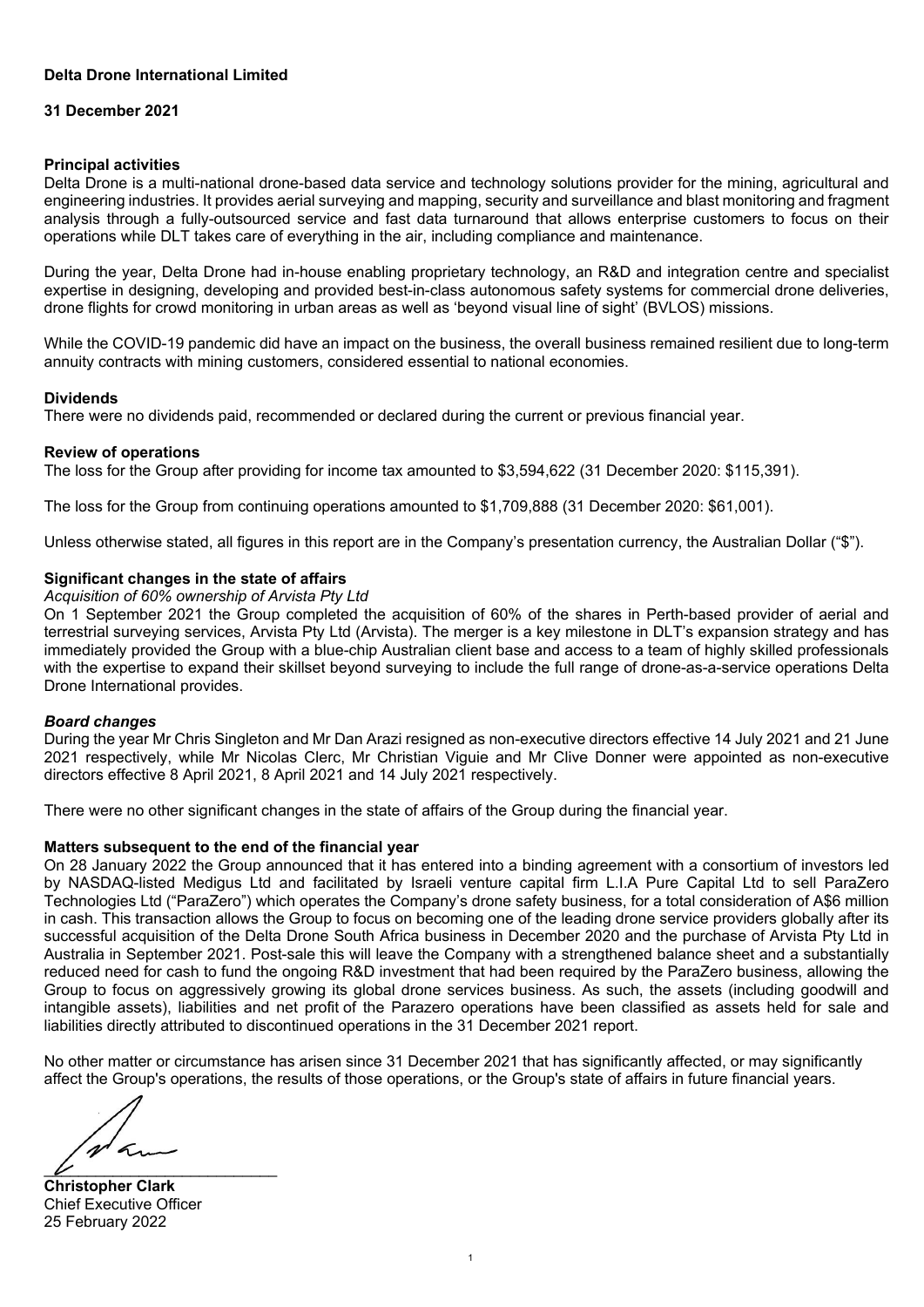# **Delta Drone International Limited**

# **31 December 2021**

# **Principal activities**

Delta Drone is a multi-national drone-based data service and technology solutions provider for the mining, agricultural and engineering industries. It provides aerial surveying and mapping, security and surveillance and blast monitoring and fragment analysis through a fully-outsourced service and fast data turnaround that allows enterprise customers to focus on their operations while DLT takes care of everything in the air, including compliance and maintenance.

During the year, Delta Drone had in-house enabling proprietary technology, an R&D and integration centre and specialist expertise in designing, developing and provided best-in-class autonomous safety systems for commercial drone deliveries, drone flights for crowd monitoring in urban areas as well as 'beyond visual line of sight' (BVLOS) missions.

While the COVID-19 pandemic did have an impact on the business, the overall business remained resilient due to long-term annuity contracts with mining customers, considered essential to national economies.

# **Dividends**

There were no dividends paid, recommended or declared during the current or previous financial year.

# **Review of operations**

The loss for the Group after providing for income tax amounted to \$3,594,622 (31 December 2020: \$115,391).

The loss for the Group from continuing operations amounted to \$1,709,888 (31 December 2020: \$61,001).

Unless otherwise stated, all figures in this report are in the Company's presentation currency, the Australian Dollar ("\$").

# **Significant changes in the state of affairs**

*Acquisition of 60% ownership of Arvista Pty Ltd*

On 1 September 2021 the Group completed the acquisition of 60% of the shares in Perth-based provider of aerial and terrestrial surveying services, Arvista Pty Ltd (Arvista). The merger is a key milestone in DLT's expansion strategy and has immediately provided the Group with a blue-chip Australian client base and access to a team of highly skilled professionals with the expertise to expand their skillset beyond surveying to include the full range of drone-as-a-service operations Delta Drone International provides.

# *Board changes*

During the year Mr Chris Singleton and Mr Dan Arazi resigned as non-executive directors effective 14 July 2021 and 21 June 2021 respectively, while Mr Nicolas Clerc, Mr Christian Viguie and Mr Clive Donner were appointed as non-executive directors effective 8 April 2021, 8 April 2021 and 14 July 2021 respectively.

There were no other significant changes in the state of affairs of the Group during the financial year.

# **Matters subsequent to the end of the financial year**

On 28 January 2022 the Group announced that it has entered into a binding agreement with a consortium of investors led by NASDAQ-listed Medigus Ltd and facilitated by Israeli venture capital firm L.I.A Pure Capital Ltd to sell ParaZero Technologies Ltd ("ParaZero") which operates the Company's drone safety business, for a total consideration of A\$6 million in cash. This transaction allows the Group to focus on becoming one of the leading drone service providers globally after its successful acquisition of the Delta Drone South Africa business in December 2020 and the purchase of Arvista Pty Ltd in Australia in September 2021. Post-sale this will leave the Company with a strengthened balance sheet and a substantially reduced need for cash to fund the ongoing R&D investment that had been required by the ParaZero business, allowing the Group to focus on aggressively growing its global drone services business. As such, the assets (including goodwill and intangible assets), liabilities and net profit of the Parazero operations have been classified as assets held for sale and liabilities directly attributed to discontinued operations in the 31 December 2021 report.

No other matter or circumstance has arisen since 31 December 2021 that has significantly affected, or may significantly affect the Group's operations, the results of those operations, or the Group's state of affairs in future financial years.

 $\epsilon$  $\overline{\nu}$ 

**Christopher Clark** Chief Executive Officer 25 February 2022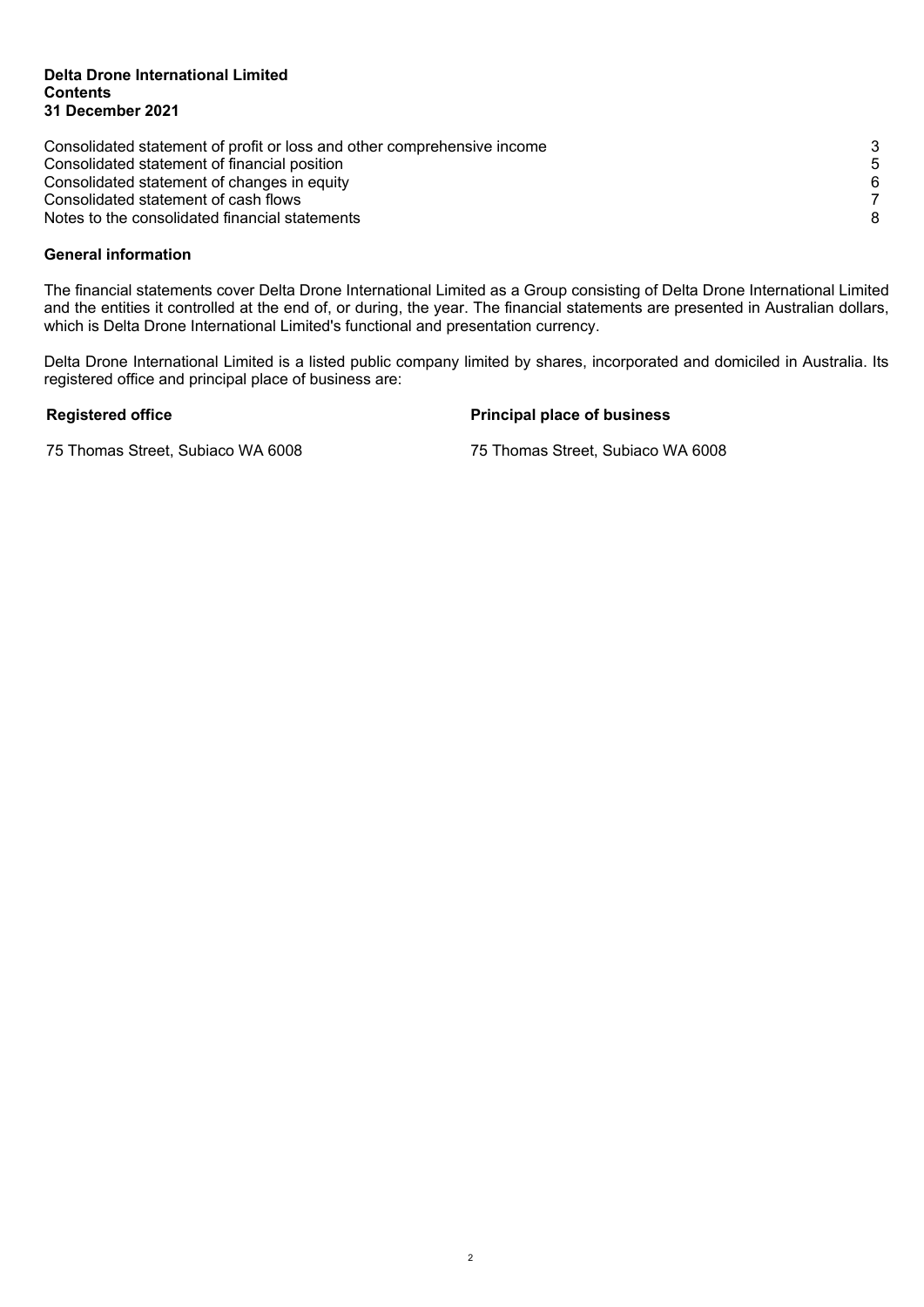#### **Delta Drone International Limited Contents 31 December 2021**

| Consolidated statement of profit or loss and other comprehensive income |       |
|-------------------------------------------------------------------------|-------|
| Consolidated statement of financial position                            | $5 -$ |
| Consolidated statement of changes in equity                             | 6.    |
| Consolidated statement of cash flows                                    |       |
| Notes to the consolidated financial statements                          |       |

# **General information**

The financial statements cover Delta Drone International Limited as a Group consisting of Delta Drone International Limited and the entities it controlled at the end of, or during, the year. The financial statements are presented in Australian dollars, which is Delta Drone International Limited's functional and presentation currency.

Delta Drone International Limited is a listed public company limited by shares, incorporated and domiciled in Australia. Its registered office and principal place of business are:

**Registered office Principal place of business**

75 Thomas Street, Subiaco WA 6008 75 Thomas Street, Subiaco WA 6008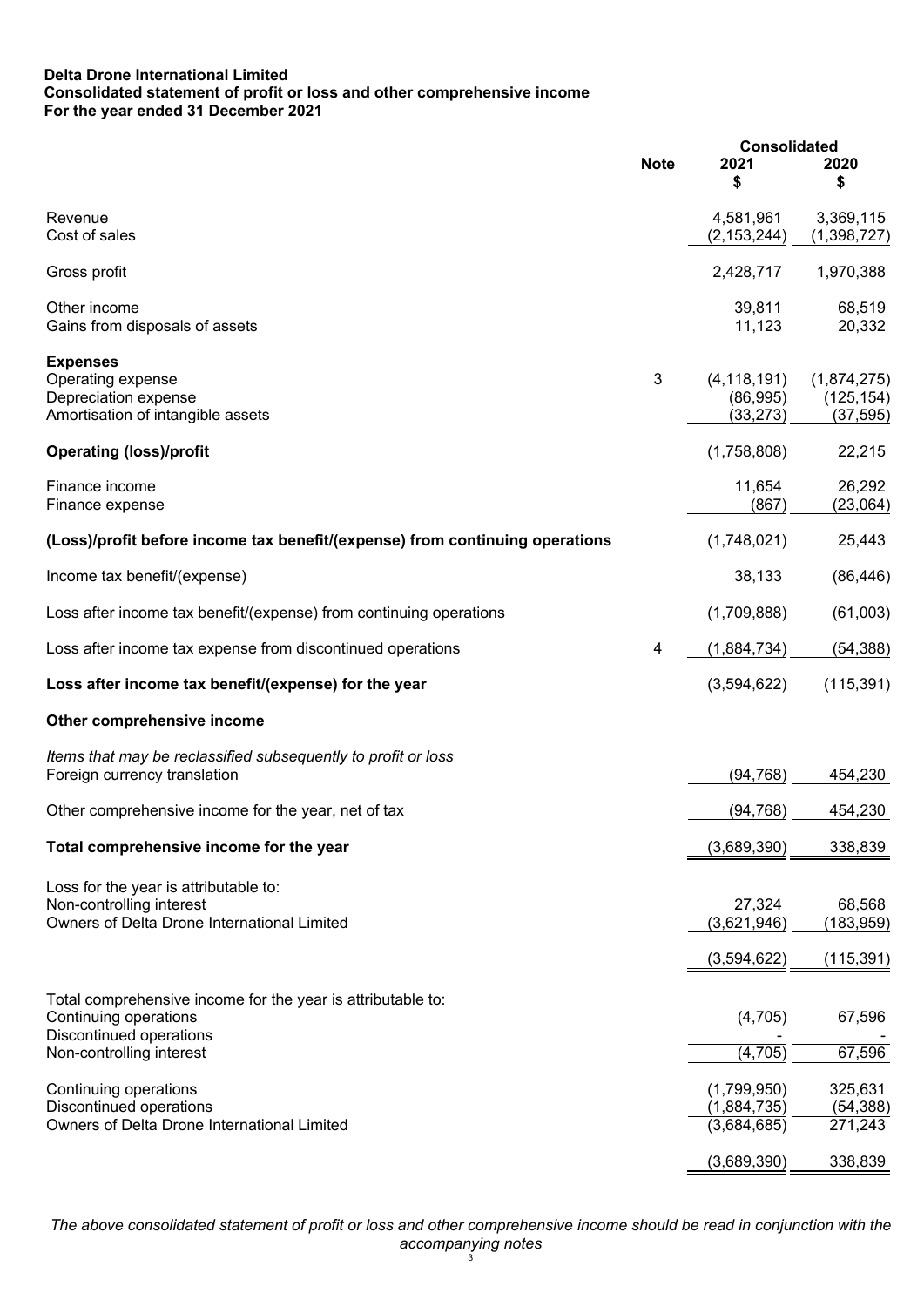# **Delta Drone International Limited Consolidated statement of profit or loss and other comprehensive income For the year ended 31 December 2021**

|                                                                              |             | <b>Consolidated</b>       |                           |  |
|------------------------------------------------------------------------------|-------------|---------------------------|---------------------------|--|
|                                                                              | <b>Note</b> | 2021                      | 2020                      |  |
|                                                                              |             | \$                        | \$                        |  |
| Revenue                                                                      |             | 4,581,961                 | 3,369,115                 |  |
| Cost of sales                                                                |             | (2, 153, 244)             | (1,398,727)               |  |
| Gross profit                                                                 |             | 2,428,717                 | 1,970,388                 |  |
| Other income                                                                 |             | 39,811                    | 68,519                    |  |
| Gains from disposals of assets                                               |             | 11,123                    | 20,332                    |  |
| <b>Expenses</b>                                                              |             |                           |                           |  |
| Operating expense<br>Depreciation expense                                    | 3           | (4, 118, 191)<br>(86,995) | (1,874,275)<br>(125, 154) |  |
| Amortisation of intangible assets                                            |             | (33, 273)                 | (37, 595)                 |  |
| <b>Operating (loss)/profit</b>                                               |             | (1,758,808)               | 22,215                    |  |
| Finance income                                                               |             | 11,654                    | 26,292                    |  |
| Finance expense                                                              |             | (867)                     | (23,064)                  |  |
| (Loss)/profit before income tax benefit/(expense) from continuing operations |             | (1,748,021)               | 25,443                    |  |
| Income tax benefit/(expense)                                                 |             | 38,133                    | (86, 446)                 |  |
|                                                                              |             |                           |                           |  |
| Loss after income tax benefit/(expense) from continuing operations           |             | (1,709,888)               | (61,003)                  |  |
| Loss after income tax expense from discontinued operations                   | 4           | (1,884,734)               | (54, 388)                 |  |
| Loss after income tax benefit/(expense) for the year                         |             | (3,594,622)               | (115, 391)                |  |
| Other comprehensive income                                                   |             |                           |                           |  |
| Items that may be reclassified subsequently to profit or loss                |             |                           |                           |  |
| Foreign currency translation                                                 |             | (94, 768)                 | 454,230                   |  |
| Other comprehensive income for the year, net of tax                          |             | (94, 768)                 | 454,230                   |  |
| Total comprehensive income for the year                                      |             | (3,689,390)               | 338,839                   |  |
| Loss for the year is attributable to:                                        |             |                           |                           |  |
| Non-controlling interest                                                     |             | 27,324                    | 68,568                    |  |
| Owners of Delta Drone International Limited                                  |             | (3,621,946)               | (183,959)                 |  |
|                                                                              |             | (3,594,622)               | (115, 391)                |  |
| Total comprehensive income for the year is attributable to:                  |             |                           |                           |  |
| Continuing operations                                                        |             | (4,705)                   | 67,596                    |  |
| Discontinued operations                                                      |             |                           |                           |  |
| Non-controlling interest                                                     |             | (4,705)                   | 67,596                    |  |
| Continuing operations                                                        |             | (1,799,950)               | 325,631                   |  |
| Discontinued operations<br>Owners of Delta Drone International Limited       |             | (1,884,735)               | (54, 388)                 |  |
|                                                                              |             | (3,684,685)               | 271,243                   |  |
|                                                                              |             | (3,689,390)               | 338,839                   |  |

*The above consolidated statement of profit or loss and other comprehensive income should be read in conjunction with the accompanying notes* 3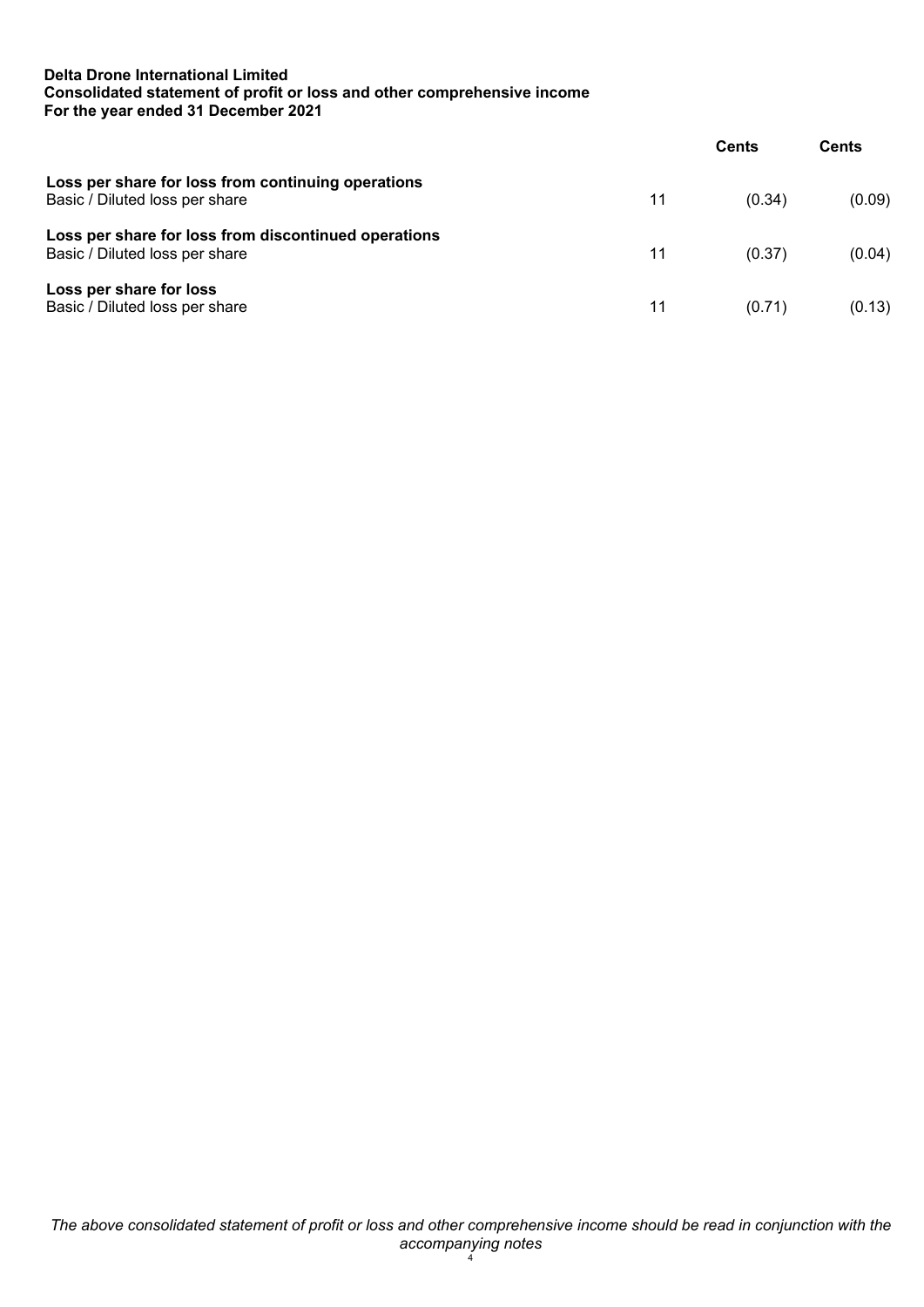# **Delta Drone International Limited Consolidated statement of profit or loss and other comprehensive income For the year ended 31 December 2021**

|                                                                                        |    | Cents  | Cents  |
|----------------------------------------------------------------------------------------|----|--------|--------|
| Loss per share for loss from continuing operations<br>Basic / Diluted loss per share   | 11 | (0.34) | (0.09) |
| Loss per share for loss from discontinued operations<br>Basic / Diluted loss per share | 11 | (0.37) | (0.04) |
| Loss per share for loss<br>Basic / Diluted loss per share                              | 11 | (0.71) | (0.13) |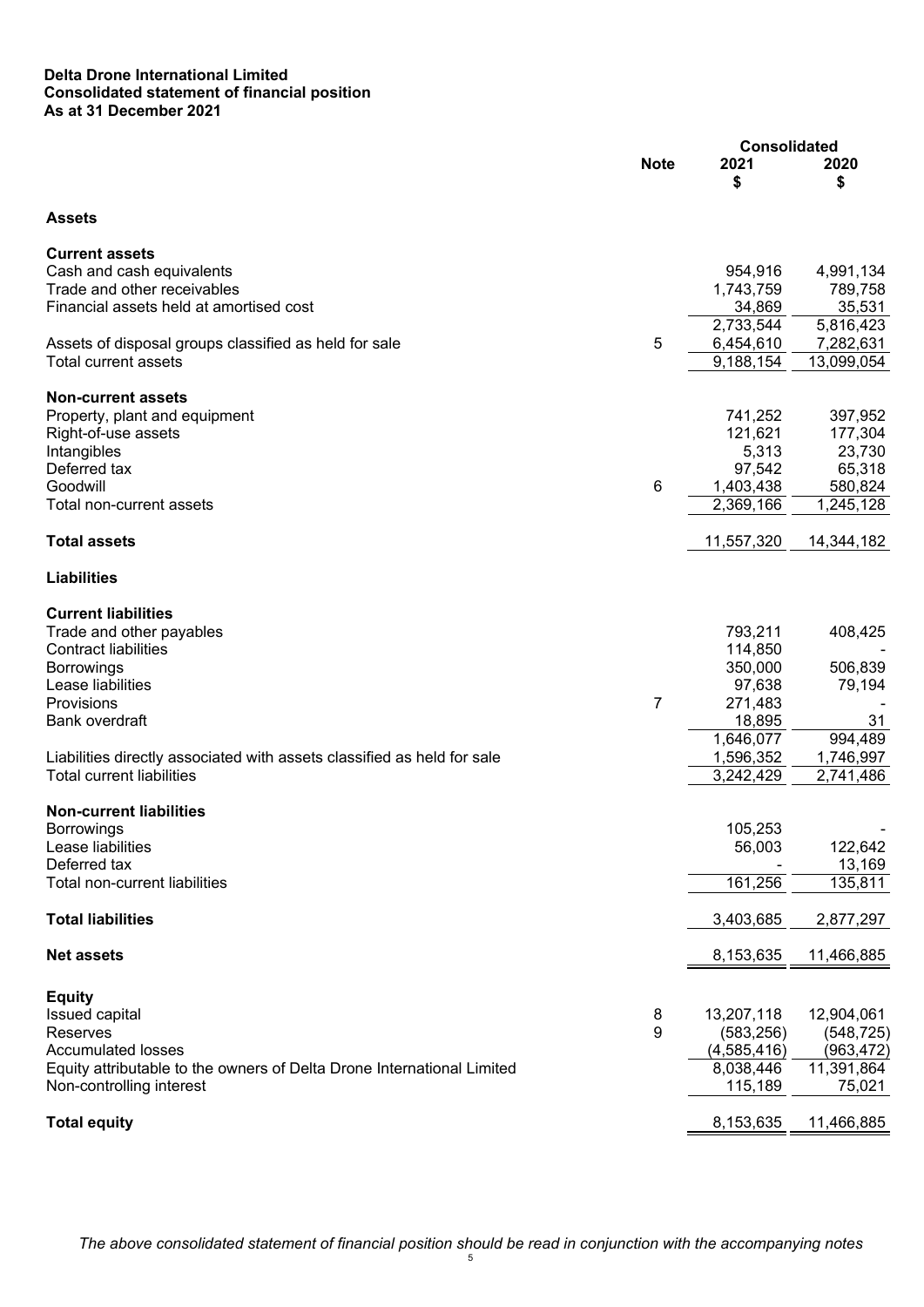# **Delta Drone International Limited Consolidated statement of financial position As at 31 December 2021**

|                                                                         | <b>Consolidated</b> |               |            |
|-------------------------------------------------------------------------|---------------------|---------------|------------|
|                                                                         | <b>Note</b>         | 2021<br>\$    | 2020<br>\$ |
| <b>Assets</b>                                                           |                     |               |            |
| <b>Current assets</b>                                                   |                     |               |            |
| Cash and cash equivalents                                               |                     | 954,916       | 4,991,134  |
| Trade and other receivables                                             |                     | 1,743,759     | 789,758    |
| Financial assets held at amortised cost                                 |                     | 34,869        | 35,531     |
|                                                                         |                     | 2,733,544     | 5,816,423  |
| Assets of disposal groups classified as held for sale                   | 5                   | 6,454,610     | 7,282,631  |
| Total current assets                                                    |                     | 9,188,154     | 13,099,054 |
| <b>Non-current assets</b>                                               |                     |               |            |
| Property, plant and equipment                                           |                     | 741,252       | 397,952    |
| Right-of-use assets                                                     |                     | 121,621       | 177,304    |
| Intangibles                                                             |                     | 5,313         | 23,730     |
| Deferred tax                                                            |                     | 97,542        | 65,318     |
| Goodwill                                                                | 6                   | 1,403,438     | 580,824    |
| Total non-current assets                                                |                     | 2,369,166     | 1,245,128  |
| <b>Total assets</b>                                                     |                     | 11,557,320    | 14,344,182 |
| <b>Liabilities</b>                                                      |                     |               |            |
| <b>Current liabilities</b>                                              |                     |               |            |
| Trade and other payables                                                |                     | 793,211       | 408,425    |
| <b>Contract liabilities</b>                                             |                     | 114,850       |            |
| <b>Borrowings</b>                                                       |                     | 350,000       | 506,839    |
| Lease liabilities                                                       |                     | 97,638        | 79,194     |
| Provisions                                                              | 7                   | 271,483       |            |
| Bank overdraft                                                          |                     | 18,895        | 31         |
|                                                                         |                     | 1,646,077     | 994,489    |
| Liabilities directly associated with assets classified as held for sale |                     | 1,596,352     | 1,746,997  |
| <b>Total current liabilities</b>                                        |                     | 3,242,429     | 2,741,486  |
| <b>Non-current liabilities</b>                                          |                     |               |            |
| Borrowings                                                              |                     | 105,253       |            |
| Lease liabilities                                                       |                     | 56,003        | 122,642    |
| Deferred tax                                                            |                     |               | 13,169     |
| <b>Total non-current liabilities</b>                                    |                     | 161,256       | 135,811    |
| <b>Total liabilities</b>                                                |                     | 3,403,685     | 2,877,297  |
| <b>Net assets</b>                                                       |                     | 8,153,635     | 11,466,885 |
| <b>Equity</b>                                                           |                     |               |            |
| Issued capital                                                          | 8                   | 13,207,118    | 12,904,061 |
| Reserves                                                                | 9                   | (583, 256)    | (548, 725) |
| <b>Accumulated losses</b>                                               |                     | (4, 585, 416) | (963, 472) |
| Equity attributable to the owners of Delta Drone International Limited  |                     | 8,038,446     | 11,391,864 |
| Non-controlling interest                                                |                     | 115,189       | 75,021     |
| <b>Total equity</b>                                                     |                     | 8,153,635     | 11,466,885 |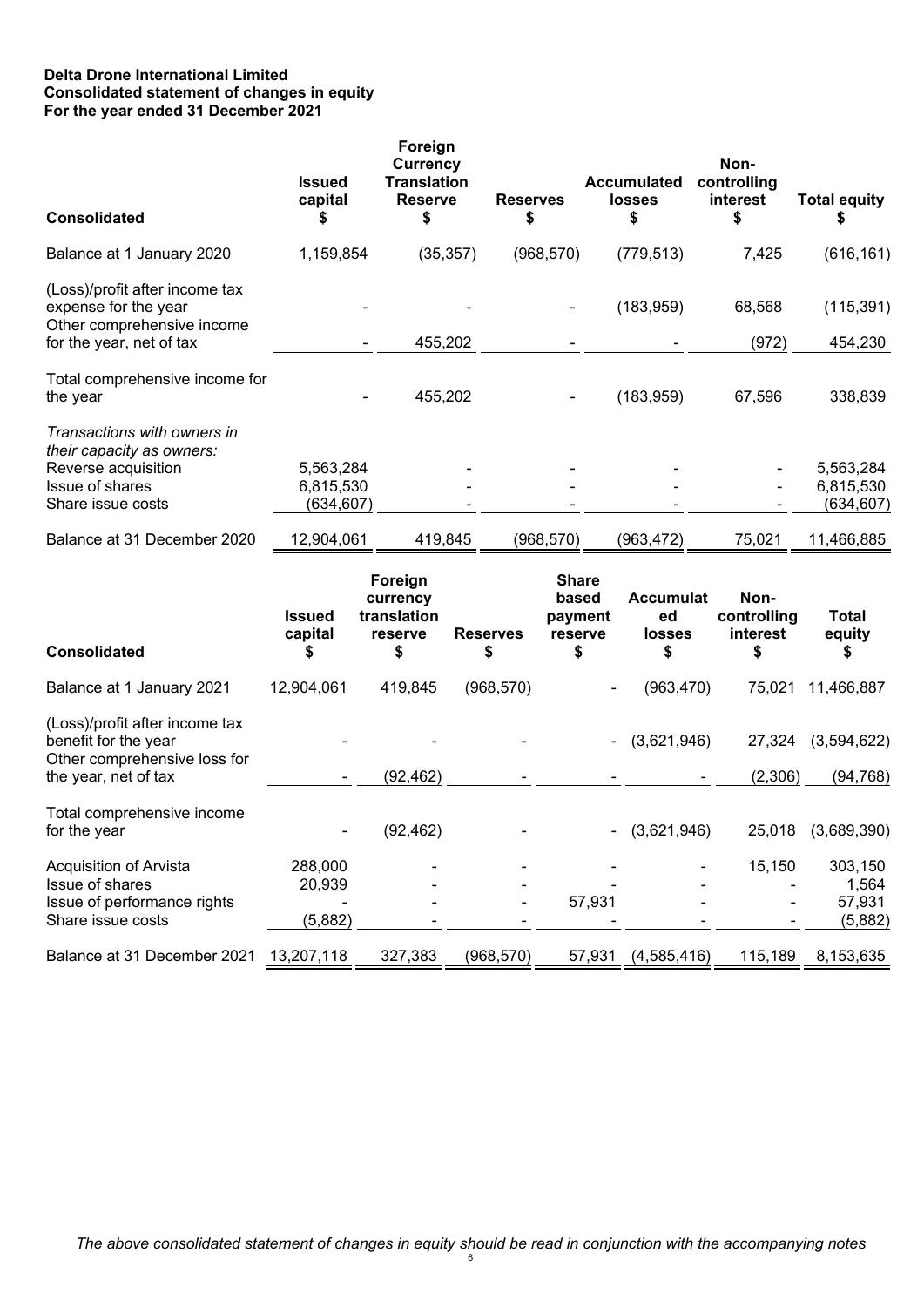# **Delta Drone International Limited Consolidated statement of changes in equity For the year ended 31 December 2021**

| <b>Consolidated</b>                                                                  | <b>Issued</b><br>capital<br>S | Foreign<br>Currency<br><b>Translation</b><br><b>Reserve</b><br>\$ | <b>Reserves</b><br>\$ | <b>Accumulated</b><br><b>losses</b><br>\$ | Non-<br>controlling<br>interest | <b>Total equity</b> |
|--------------------------------------------------------------------------------------|-------------------------------|-------------------------------------------------------------------|-----------------------|-------------------------------------------|---------------------------------|---------------------|
| Balance at 1 January 2020                                                            | 1,159,854                     | (35, 357)                                                         | (968, 570)            | (779, 513)                                | 7,425                           | (616, 161)          |
| (Loss)/profit after income tax<br>expense for the year<br>Other comprehensive income |                               |                                                                   |                       | (183, 959)                                | 68,568                          | (115, 391)          |
| for the year, net of tax                                                             | ۰.                            | 455,202                                                           |                       |                                           | (972)                           | 454,230             |
| Total comprehensive income for<br>the year                                           |                               | 455,202                                                           |                       | (183, 959)                                | 67,596                          | 338,839             |
| Transactions with owners in<br>their capacity as owners:                             |                               |                                                                   |                       |                                           |                                 |                     |
| Reverse acquisition                                                                  | 5,563,284                     |                                                                   |                       |                                           |                                 | 5,563,284           |
| Issue of shares                                                                      | 6,815,530                     |                                                                   |                       |                                           |                                 | 6,815,530           |
| Share issue costs                                                                    | (634,607)                     |                                                                   |                       |                                           |                                 | (634,607)           |
| Balance at 31 December 2020                                                          | 12,904,061                    | 419,845                                                           | (968, 570)            | (963, 472)                                | 75,021                          | 11,466,885          |
|                                                                                      |                               | Earnian                                                           | Chara                 |                                           |                                 |                     |

| <b>Consolidated</b>                                                                                            | <b>Issued</b><br>capital     | roreign<br>currency<br>translation<br>reserve<br>5 | <b>Reserves</b><br>\$ | onare<br>based<br>payment<br>reserve<br>S | <b>Accumulat</b><br>ed<br><b>losses</b> | Non-<br>controlling<br>interest | <b>Total</b><br>equity                |
|----------------------------------------------------------------------------------------------------------------|------------------------------|----------------------------------------------------|-----------------------|-------------------------------------------|-----------------------------------------|---------------------------------|---------------------------------------|
| Balance at 1 January 2021                                                                                      | 12,904,061                   | 419,845                                            | (968, 570)            |                                           | (963, 470)                              | 75,021                          | 11,466,887                            |
| (Loss)/profit after income tax<br>benefit for the year<br>Other comprehensive loss for<br>the year, net of tax |                              | (92,462)                                           |                       |                                           | (3,621,946)                             | 27,324<br>(2,306)               | (3,594,622)<br>(94, 768)              |
| Total comprehensive income<br>for the year                                                                     |                              | (92, 462)                                          |                       |                                           | (3,621,946)                             | 25,018                          | (3,689,390)                           |
| Acquisition of Arvista<br>Issue of shares<br>Issue of performance rights<br>Share issue costs                  | 288,000<br>20,939<br>(5,882) |                                                    |                       | 57,931                                    |                                         | 15,150                          | 303,150<br>1,564<br>57,931<br>(5,882) |
| Balance at 31 December 2021                                                                                    | 13,207,118                   | 327,383                                            | (968, 570)            | 57,931                                    | (4,585,416)                             | 115,189                         | 8,153,635                             |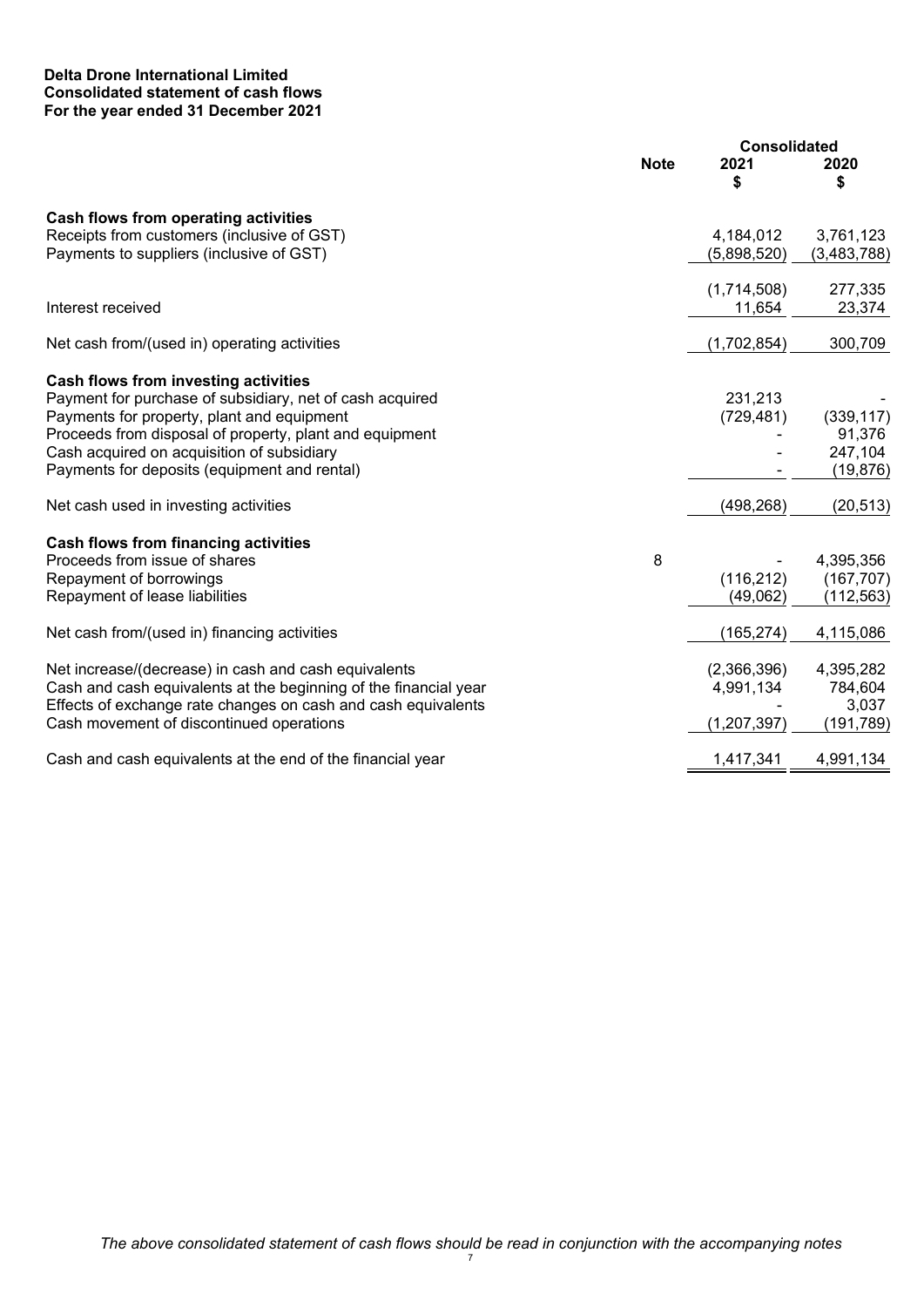# **Delta Drone International Limited Consolidated statement of cash flows For the year ended 31 December 2021**

|                                                                  |             |             | <b>Consolidated</b> |  |
|------------------------------------------------------------------|-------------|-------------|---------------------|--|
|                                                                  | <b>Note</b> | 2021<br>S   | 2020<br>\$          |  |
| Cash flows from operating activities                             |             |             |                     |  |
| Receipts from customers (inclusive of GST)                       |             | 4,184,012   | 3,761,123           |  |
| Payments to suppliers (inclusive of GST)                         |             | (5,898,520) | (3,483,788)         |  |
|                                                                  |             |             |                     |  |
|                                                                  |             | (1,714,508) | 277,335             |  |
| Interest received                                                |             | 11,654      | 23,374              |  |
| Net cash from/(used in) operating activities                     |             | (1,702,854) | 300,709             |  |
| Cash flows from investing activities                             |             |             |                     |  |
| Payment for purchase of subsidiary, net of cash acquired         |             | 231,213     |                     |  |
| Payments for property, plant and equipment                       |             | (729, 481)  | (339, 117)          |  |
| Proceeds from disposal of property, plant and equipment          |             |             | 91,376              |  |
| Cash acquired on acquisition of subsidiary                       |             |             | 247,104             |  |
| Payments for deposits (equipment and rental)                     |             |             | (19, 876)           |  |
| Net cash used in investing activities                            |             | (498, 268)  | (20, 513)           |  |
| <b>Cash flows from financing activities</b>                      |             |             |                     |  |
| Proceeds from issue of shares                                    | 8           |             | 4,395,356           |  |
| Repayment of borrowings                                          |             | (116, 212)  | (167, 707)          |  |
| Repayment of lease liabilities                                   |             | (49,062)    | (112, 563)          |  |
| Net cash from/(used in) financing activities                     |             | (165, 274)  | 4,115,086           |  |
| Net increase/(decrease) in cash and cash equivalents             |             | (2,366,396) | 4,395,282           |  |
| Cash and cash equivalents at the beginning of the financial year |             | 4,991,134   | 784,604             |  |
| Effects of exchange rate changes on cash and cash equivalents    |             |             | 3,037               |  |
| Cash movement of discontinued operations                         |             | (1,207,397) | (191,789)           |  |
| Cash and cash equivalents at the end of the financial year       |             | 1,417,341   | 4,991,134           |  |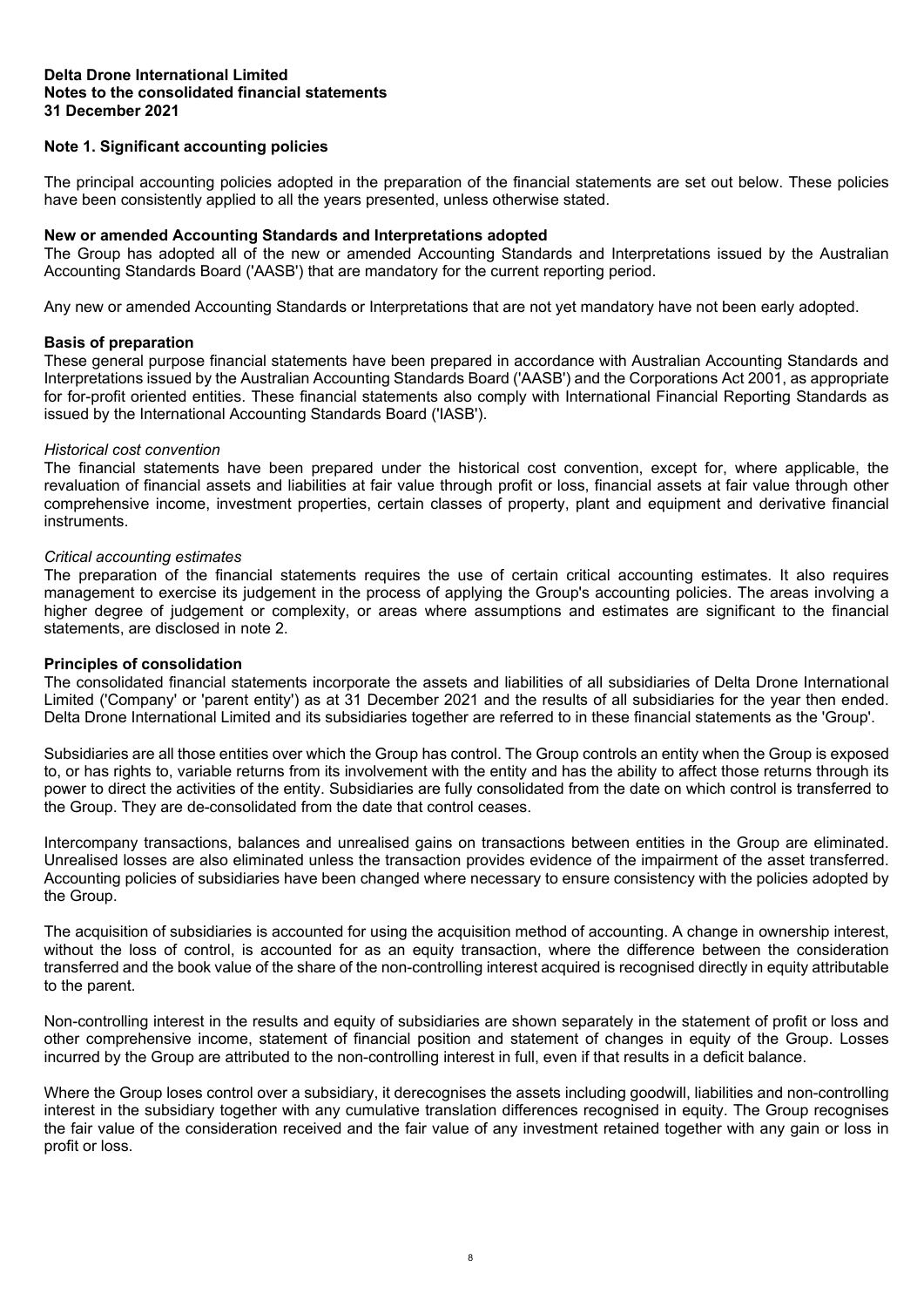# **Note 1. Significant accounting policies**

The principal accounting policies adopted in the preparation of the financial statements are set out below. These policies have been consistently applied to all the years presented, unless otherwise stated.

# **New or amended Accounting Standards and Interpretations adopted**

The Group has adopted all of the new or amended Accounting Standards and Interpretations issued by the Australian Accounting Standards Board ('AASB') that are mandatory for the current reporting period.

Any new or amended Accounting Standards or Interpretations that are not yet mandatory have not been early adopted.

# **Basis of preparation**

These general purpose financial statements have been prepared in accordance with Australian Accounting Standards and Interpretations issued by the Australian Accounting Standards Board ('AASB') and the Corporations Act 2001, as appropriate for for-profit oriented entities. These financial statements also comply with International Financial Reporting Standards as issued by the International Accounting Standards Board ('IASB').

# *Historical cost convention*

The financial statements have been prepared under the historical cost convention, except for, where applicable, the revaluation of financial assets and liabilities at fair value through profit or loss, financial assets at fair value through other comprehensive income, investment properties, certain classes of property, plant and equipment and derivative financial instruments.

# *Critical accounting estimates*

The preparation of the financial statements requires the use of certain critical accounting estimates. It also requires management to exercise its judgement in the process of applying the Group's accounting policies. The areas involving a higher degree of judgement or complexity, or areas where assumptions and estimates are significant to the financial statements, are disclosed in note 2.

# **Principles of consolidation**

The consolidated financial statements incorporate the assets and liabilities of all subsidiaries of Delta Drone International Limited ('Company' or 'parent entity') as at 31 December 2021 and the results of all subsidiaries for the year then ended. Delta Drone International Limited and its subsidiaries together are referred to in these financial statements as the 'Group'.

Subsidiaries are all those entities over which the Group has control. The Group controls an entity when the Group is exposed to, or has rights to, variable returns from its involvement with the entity and has the ability to affect those returns through its power to direct the activities of the entity. Subsidiaries are fully consolidated from the date on which control is transferred to the Group. They are de-consolidated from the date that control ceases.

Intercompany transactions, balances and unrealised gains on transactions between entities in the Group are eliminated. Unrealised losses are also eliminated unless the transaction provides evidence of the impairment of the asset transferred. Accounting policies of subsidiaries have been changed where necessary to ensure consistency with the policies adopted by the Group.

The acquisition of subsidiaries is accounted for using the acquisition method of accounting. A change in ownership interest, without the loss of control, is accounted for as an equity transaction, where the difference between the consideration transferred and the book value of the share of the non-controlling interest acquired is recognised directly in equity attributable to the parent.

Non-controlling interest in the results and equity of subsidiaries are shown separately in the statement of profit or loss and other comprehensive income, statement of financial position and statement of changes in equity of the Group. Losses incurred by the Group are attributed to the non-controlling interest in full, even if that results in a deficit balance.

Where the Group loses control over a subsidiary, it derecognises the assets including goodwill, liabilities and non-controlling interest in the subsidiary together with any cumulative translation differences recognised in equity. The Group recognises the fair value of the consideration received and the fair value of any investment retained together with any gain or loss in profit or loss.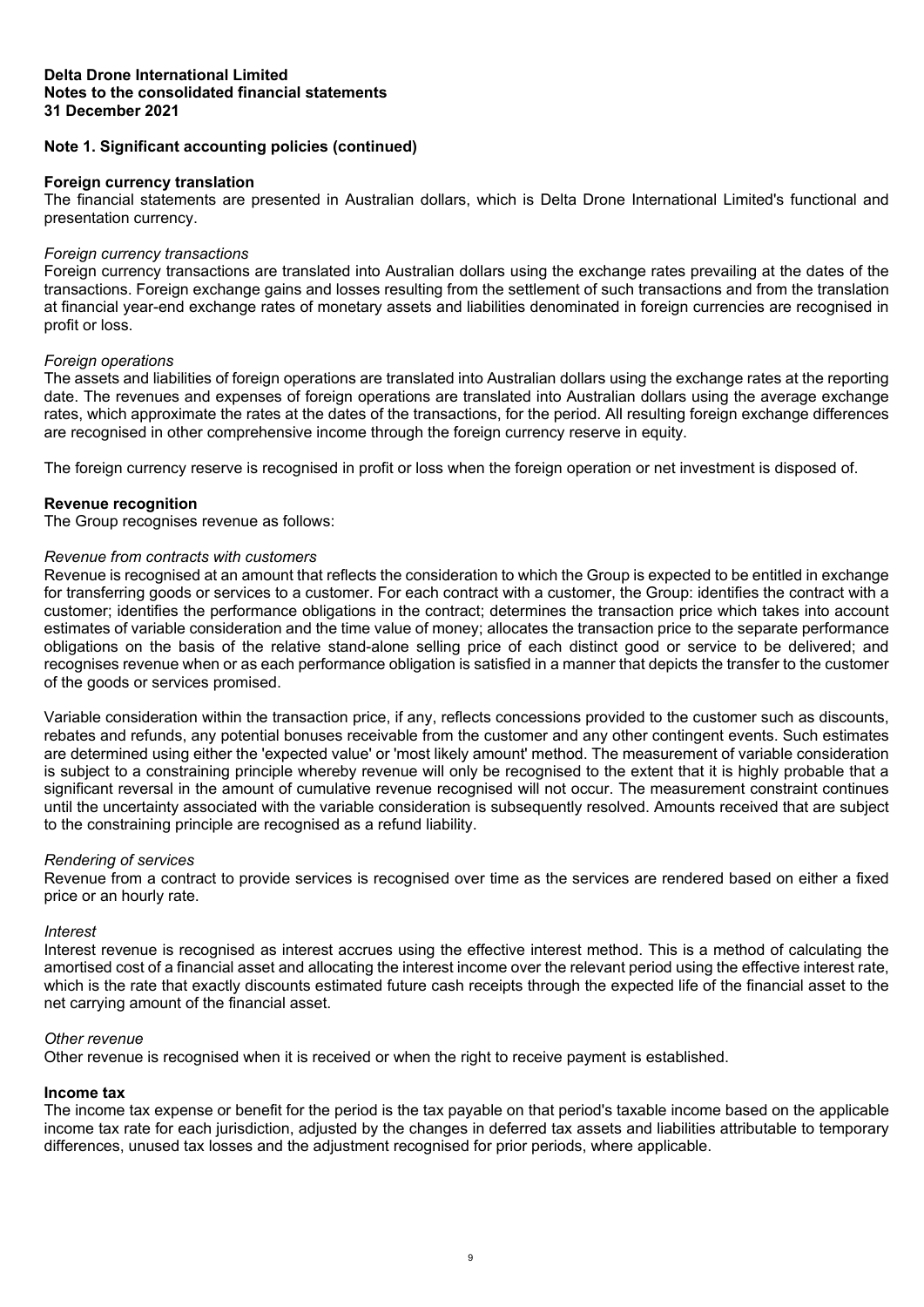# **Note 1. Significant accounting policies (continued)**

# **Foreign currency translation**

The financial statements are presented in Australian dollars, which is Delta Drone International Limited's functional and presentation currency.

#### *Foreign currency transactions*

Foreign currency transactions are translated into Australian dollars using the exchange rates prevailing at the dates of the transactions. Foreign exchange gains and losses resulting from the settlement of such transactions and from the translation at financial year-end exchange rates of monetary assets and liabilities denominated in foreign currencies are recognised in profit or loss.

# *Foreign operations*

The assets and liabilities of foreign operations are translated into Australian dollars using the exchange rates at the reporting date. The revenues and expenses of foreign operations are translated into Australian dollars using the average exchange rates, which approximate the rates at the dates of the transactions, for the period. All resulting foreign exchange differences are recognised in other comprehensive income through the foreign currency reserve in equity.

The foreign currency reserve is recognised in profit or loss when the foreign operation or net investment is disposed of.

# **Revenue recognition**

The Group recognises revenue as follows:

# *Revenue from contracts with customers*

Revenue is recognised at an amount that reflects the consideration to which the Group is expected to be entitled in exchange for transferring goods or services to a customer. For each contract with a customer, the Group: identifies the contract with a customer; identifies the performance obligations in the contract; determines the transaction price which takes into account estimates of variable consideration and the time value of money; allocates the transaction price to the separate performance obligations on the basis of the relative stand-alone selling price of each distinct good or service to be delivered; and recognises revenue when or as each performance obligation is satisfied in a manner that depicts the transfer to the customer of the goods or services promised.

Variable consideration within the transaction price, if any, reflects concessions provided to the customer such as discounts, rebates and refunds, any potential bonuses receivable from the customer and any other contingent events. Such estimates are determined using either the 'expected value' or 'most likely amount' method. The measurement of variable consideration is subject to a constraining principle whereby revenue will only be recognised to the extent that it is highly probable that a significant reversal in the amount of cumulative revenue recognised will not occur. The measurement constraint continues until the uncertainty associated with the variable consideration is subsequently resolved. Amounts received that are subject to the constraining principle are recognised as a refund liability.

# *Rendering of services*

Revenue from a contract to provide services is recognised over time as the services are rendered based on either a fixed price or an hourly rate.

#### *Interest*

Interest revenue is recognised as interest accrues using the effective interest method. This is a method of calculating the amortised cost of a financial asset and allocating the interest income over the relevant period using the effective interest rate, which is the rate that exactly discounts estimated future cash receipts through the expected life of the financial asset to the net carrying amount of the financial asset.

# *Other revenue*

Other revenue is recognised when it is received or when the right to receive payment is established.

# **Income tax**

The income tax expense or benefit for the period is the tax payable on that period's taxable income based on the applicable income tax rate for each jurisdiction, adjusted by the changes in deferred tax assets and liabilities attributable to temporary differences, unused tax losses and the adjustment recognised for prior periods, where applicable.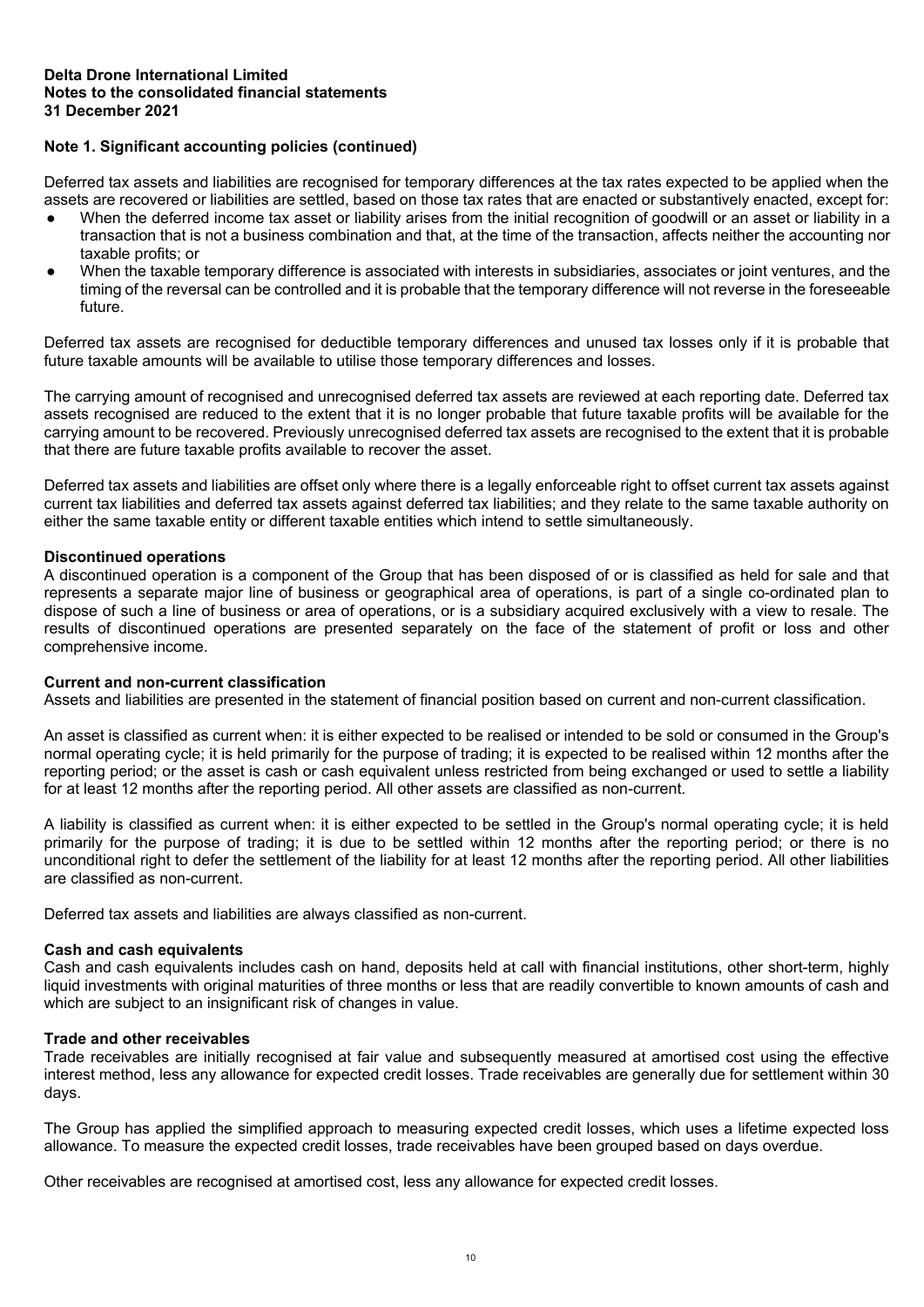# **Note 1. Significant accounting policies (continued)**

Deferred tax assets and liabilities are recognised for temporary differences at the tax rates expected to be applied when the assets are recovered or liabilities are settled, based on those tax rates that are enacted or substantively enacted, except for:

- When the deferred income tax asset or liability arises from the initial recognition of goodwill or an asset or liability in a transaction that is not a business combination and that, at the time of the transaction, affects neither the accounting nor taxable profits; or
- When the taxable temporary difference is associated with interests in subsidiaries, associates or joint ventures, and the timing of the reversal can be controlled and it is probable that the temporary difference will not reverse in the foreseeable future.

Deferred tax assets are recognised for deductible temporary differences and unused tax losses only if it is probable that future taxable amounts will be available to utilise those temporary differences and losses.

The carrying amount of recognised and unrecognised deferred tax assets are reviewed at each reporting date. Deferred tax assets recognised are reduced to the extent that it is no longer probable that future taxable profits will be available for the carrying amount to be recovered. Previously unrecognised deferred tax assets are recognised to the extent that it is probable that there are future taxable profits available to recover the asset.

Deferred tax assets and liabilities are offset only where there is a legally enforceable right to offset current tax assets against current tax liabilities and deferred tax assets against deferred tax liabilities; and they relate to the same taxable authority on either the same taxable entity or different taxable entities which intend to settle simultaneously.

# **Discontinued operations**

A discontinued operation is a component of the Group that has been disposed of or is classified as held for sale and that represents a separate major line of business or geographical area of operations, is part of a single co-ordinated plan to dispose of such a line of business or area of operations, or is a subsidiary acquired exclusively with a view to resale. The results of discontinued operations are presented separately on the face of the statement of profit or loss and other comprehensive income.

# **Current and non-current classification**

Assets and liabilities are presented in the statement of financial position based on current and non-current classification.

An asset is classified as current when: it is either expected to be realised or intended to be sold or consumed in the Group's normal operating cycle; it is held primarily for the purpose of trading; it is expected to be realised within 12 months after the reporting period; or the asset is cash or cash equivalent unless restricted from being exchanged or used to settle a liability for at least 12 months after the reporting period. All other assets are classified as non-current.

A liability is classified as current when: it is either expected to be settled in the Group's normal operating cycle; it is held primarily for the purpose of trading; it is due to be settled within 12 months after the reporting period; or there is no unconditional right to defer the settlement of the liability for at least 12 months after the reporting period. All other liabilities are classified as non-current.

Deferred tax assets and liabilities are always classified as non-current.

# **Cash and cash equivalents**

Cash and cash equivalents includes cash on hand, deposits held at call with financial institutions, other short-term, highly liquid investments with original maturities of three months or less that are readily convertible to known amounts of cash and which are subject to an insignificant risk of changes in value.

# **Trade and other receivables**

Trade receivables are initially recognised at fair value and subsequently measured at amortised cost using the effective interest method, less any allowance for expected credit losses. Trade receivables are generally due for settlement within 30 days.

The Group has applied the simplified approach to measuring expected credit losses, which uses a lifetime expected loss allowance. To measure the expected credit losses, trade receivables have been grouped based on days overdue.

Other receivables are recognised at amortised cost, less any allowance for expected credit losses.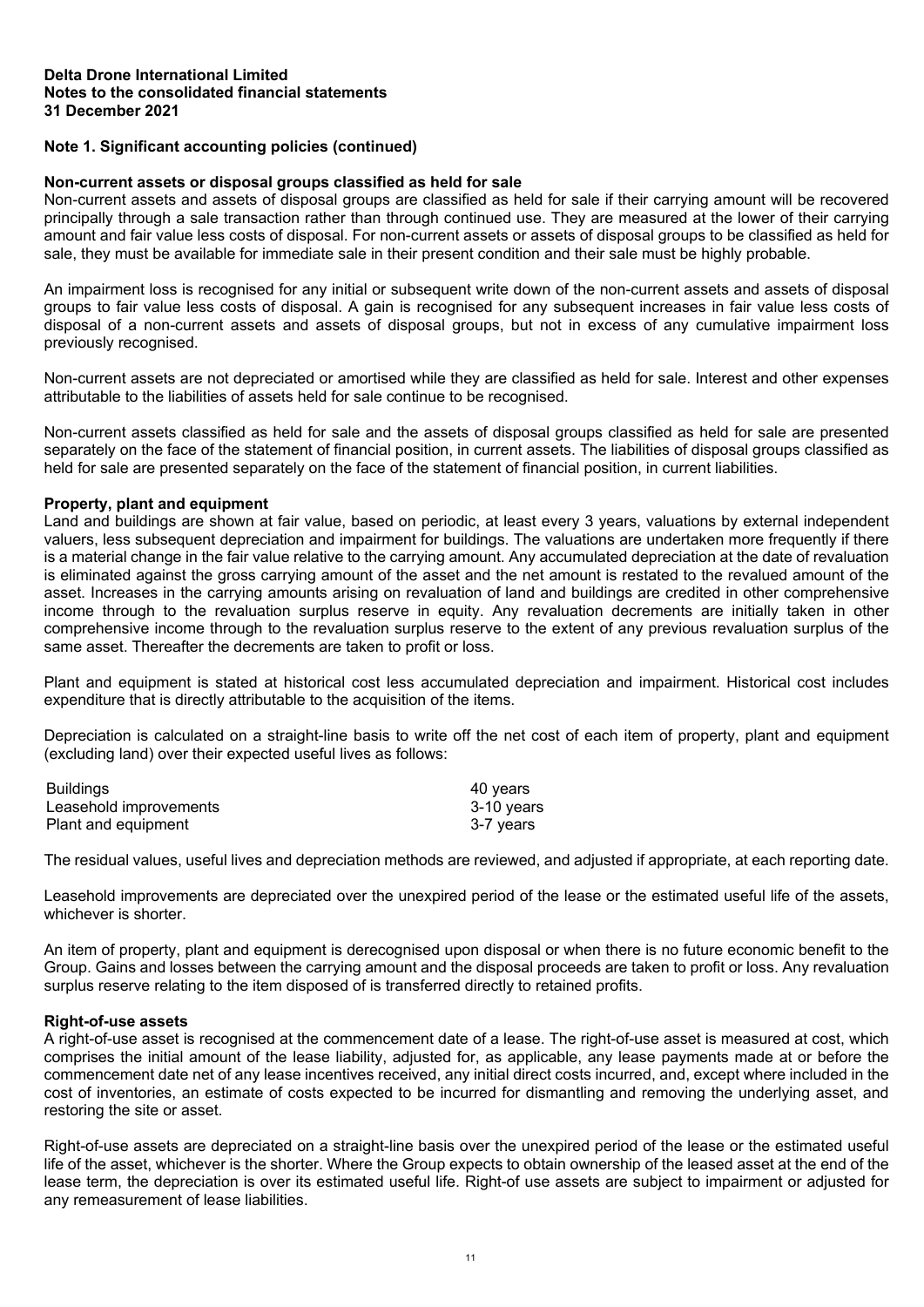# **Note 1. Significant accounting policies (continued)**

# **Non-current assets or disposal groups classified as held for sale**

Non-current assets and assets of disposal groups are classified as held for sale if their carrying amount will be recovered principally through a sale transaction rather than through continued use. They are measured at the lower of their carrying amount and fair value less costs of disposal. For non-current assets or assets of disposal groups to be classified as held for sale, they must be available for immediate sale in their present condition and their sale must be highly probable.

An impairment loss is recognised for any initial or subsequent write down of the non-current assets and assets of disposal groups to fair value less costs of disposal. A gain is recognised for any subsequent increases in fair value less costs of disposal of a non-current assets and assets of disposal groups, but not in excess of any cumulative impairment loss previously recognised.

Non-current assets are not depreciated or amortised while they are classified as held for sale. Interest and other expenses attributable to the liabilities of assets held for sale continue to be recognised.

Non-current assets classified as held for sale and the assets of disposal groups classified as held for sale are presented separately on the face of the statement of financial position, in current assets. The liabilities of disposal groups classified as held for sale are presented separately on the face of the statement of financial position, in current liabilities.

# **Property, plant and equipment**

Land and buildings are shown at fair value, based on periodic, at least every 3 years, valuations by external independent valuers, less subsequent depreciation and impairment for buildings. The valuations are undertaken more frequently if there is a material change in the fair value relative to the carrying amount. Any accumulated depreciation at the date of revaluation is eliminated against the gross carrying amount of the asset and the net amount is restated to the revalued amount of the asset. Increases in the carrying amounts arising on revaluation of land and buildings are credited in other comprehensive income through to the revaluation surplus reserve in equity. Any revaluation decrements are initially taken in other comprehensive income through to the revaluation surplus reserve to the extent of any previous revaluation surplus of the same asset. Thereafter the decrements are taken to profit or loss.

Plant and equipment is stated at historical cost less accumulated depreciation and impairment. Historical cost includes expenditure that is directly attributable to the acquisition of the items.

Depreciation is calculated on a straight-line basis to write off the net cost of each item of property, plant and equipment (excluding land) over their expected useful lives as follows:

| <b>Buildings</b>       | 40 vears   |
|------------------------|------------|
| Leasehold improvements | 3-10 years |
| Plant and equipment    | 3-7 vears  |

The residual values, useful lives and depreciation methods are reviewed, and adjusted if appropriate, at each reporting date.

Leasehold improvements are depreciated over the unexpired period of the lease or the estimated useful life of the assets, whichever is shorter.

An item of property, plant and equipment is derecognised upon disposal or when there is no future economic benefit to the Group. Gains and losses between the carrying amount and the disposal proceeds are taken to profit or loss. Any revaluation surplus reserve relating to the item disposed of is transferred directly to retained profits.

# **Right-of-use assets**

A right-of-use asset is recognised at the commencement date of a lease. The right-of-use asset is measured at cost, which comprises the initial amount of the lease liability, adjusted for, as applicable, any lease payments made at or before the commencement date net of any lease incentives received, any initial direct costs incurred, and, except where included in the cost of inventories, an estimate of costs expected to be incurred for dismantling and removing the underlying asset, and restoring the site or asset.

Right-of-use assets are depreciated on a straight-line basis over the unexpired period of the lease or the estimated useful life of the asset, whichever is the shorter. Where the Group expects to obtain ownership of the leased asset at the end of the lease term, the depreciation is over its estimated useful life. Right-of use assets are subject to impairment or adjusted for any remeasurement of lease liabilities.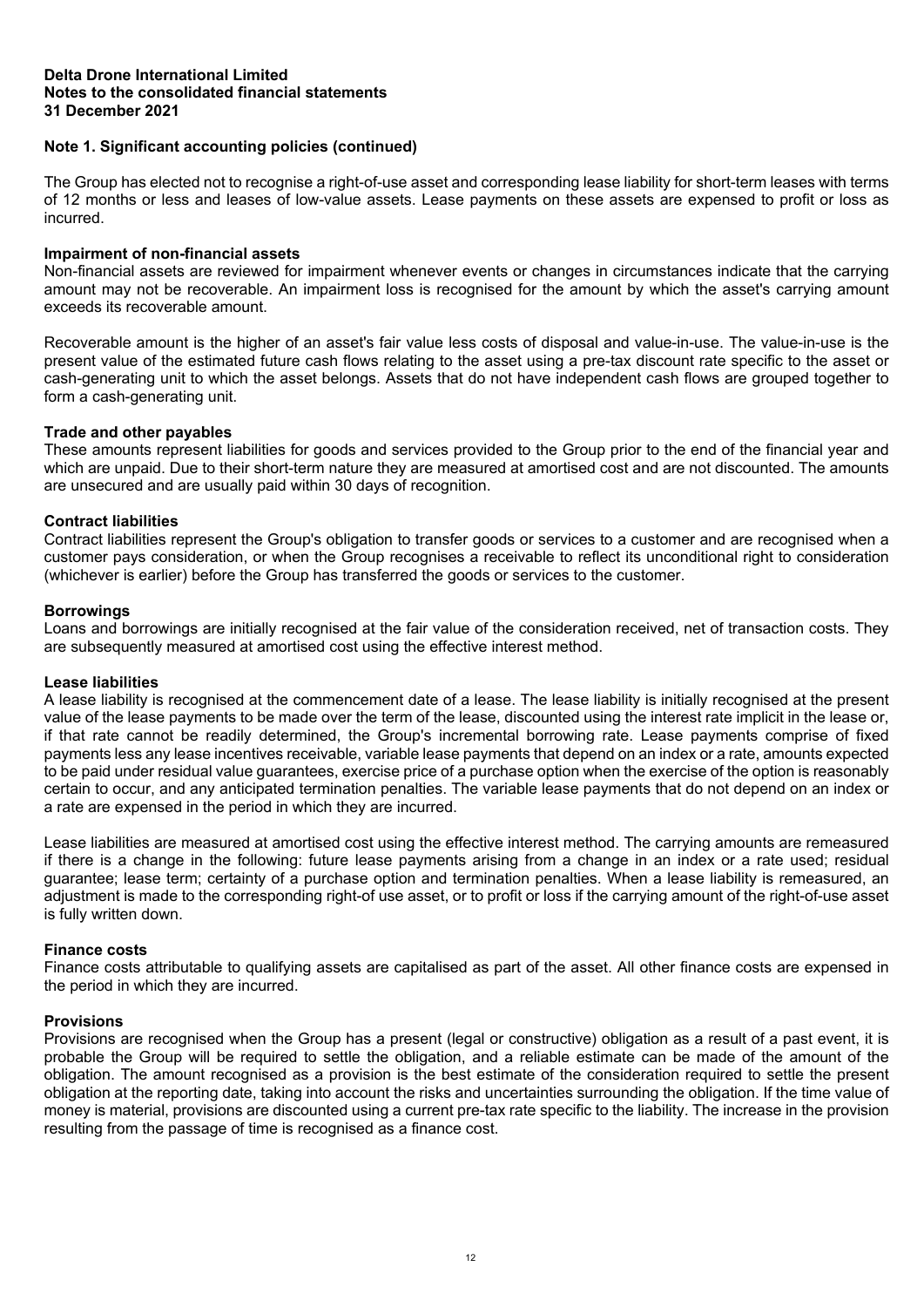# **Note 1. Significant accounting policies (continued)**

The Group has elected not to recognise a right-of-use asset and corresponding lease liability for short-term leases with terms of 12 months or less and leases of low-value assets. Lease payments on these assets are expensed to profit or loss as incurred.

# **Impairment of non-financial assets**

Non-financial assets are reviewed for impairment whenever events or changes in circumstances indicate that the carrying amount may not be recoverable. An impairment loss is recognised for the amount by which the asset's carrying amount exceeds its recoverable amount.

Recoverable amount is the higher of an asset's fair value less costs of disposal and value-in-use. The value-in-use is the present value of the estimated future cash flows relating to the asset using a pre-tax discount rate specific to the asset or cash-generating unit to which the asset belongs. Assets that do not have independent cash flows are grouped together to form a cash-generating unit.

# **Trade and other payables**

These amounts represent liabilities for goods and services provided to the Group prior to the end of the financial year and which are unpaid. Due to their short-term nature they are measured at amortised cost and are not discounted. The amounts are unsecured and are usually paid within 30 days of recognition.

# **Contract liabilities**

Contract liabilities represent the Group's obligation to transfer goods or services to a customer and are recognised when a customer pays consideration, or when the Group recognises a receivable to reflect its unconditional right to consideration (whichever is earlier) before the Group has transferred the goods or services to the customer.

# **Borrowings**

Loans and borrowings are initially recognised at the fair value of the consideration received, net of transaction costs. They are subsequently measured at amortised cost using the effective interest method.

# **Lease liabilities**

A lease liability is recognised at the commencement date of a lease. The lease liability is initially recognised at the present value of the lease payments to be made over the term of the lease, discounted using the interest rate implicit in the lease or, if that rate cannot be readily determined, the Group's incremental borrowing rate. Lease payments comprise of fixed payments less any lease incentives receivable, variable lease payments that depend on an index or a rate, amounts expected to be paid under residual value guarantees, exercise price of a purchase option when the exercise of the option is reasonably certain to occur, and any anticipated termination penalties. The variable lease payments that do not depend on an index or a rate are expensed in the period in which they are incurred.

Lease liabilities are measured at amortised cost using the effective interest method. The carrying amounts are remeasured if there is a change in the following: future lease payments arising from a change in an index or a rate used; residual guarantee; lease term; certainty of a purchase option and termination penalties. When a lease liability is remeasured, an adjustment is made to the corresponding right-of use asset, or to profit or loss if the carrying amount of the right-of-use asset is fully written down.

# **Finance costs**

Finance costs attributable to qualifying assets are capitalised as part of the asset. All other finance costs are expensed in the period in which they are incurred.

# **Provisions**

Provisions are recognised when the Group has a present (legal or constructive) obligation as a result of a past event, it is probable the Group will be required to settle the obligation, and a reliable estimate can be made of the amount of the obligation. The amount recognised as a provision is the best estimate of the consideration required to settle the present obligation at the reporting date, taking into account the risks and uncertainties surrounding the obligation. If the time value of money is material, provisions are discounted using a current pre-tax rate specific to the liability. The increase in the provision resulting from the passage of time is recognised as a finance cost.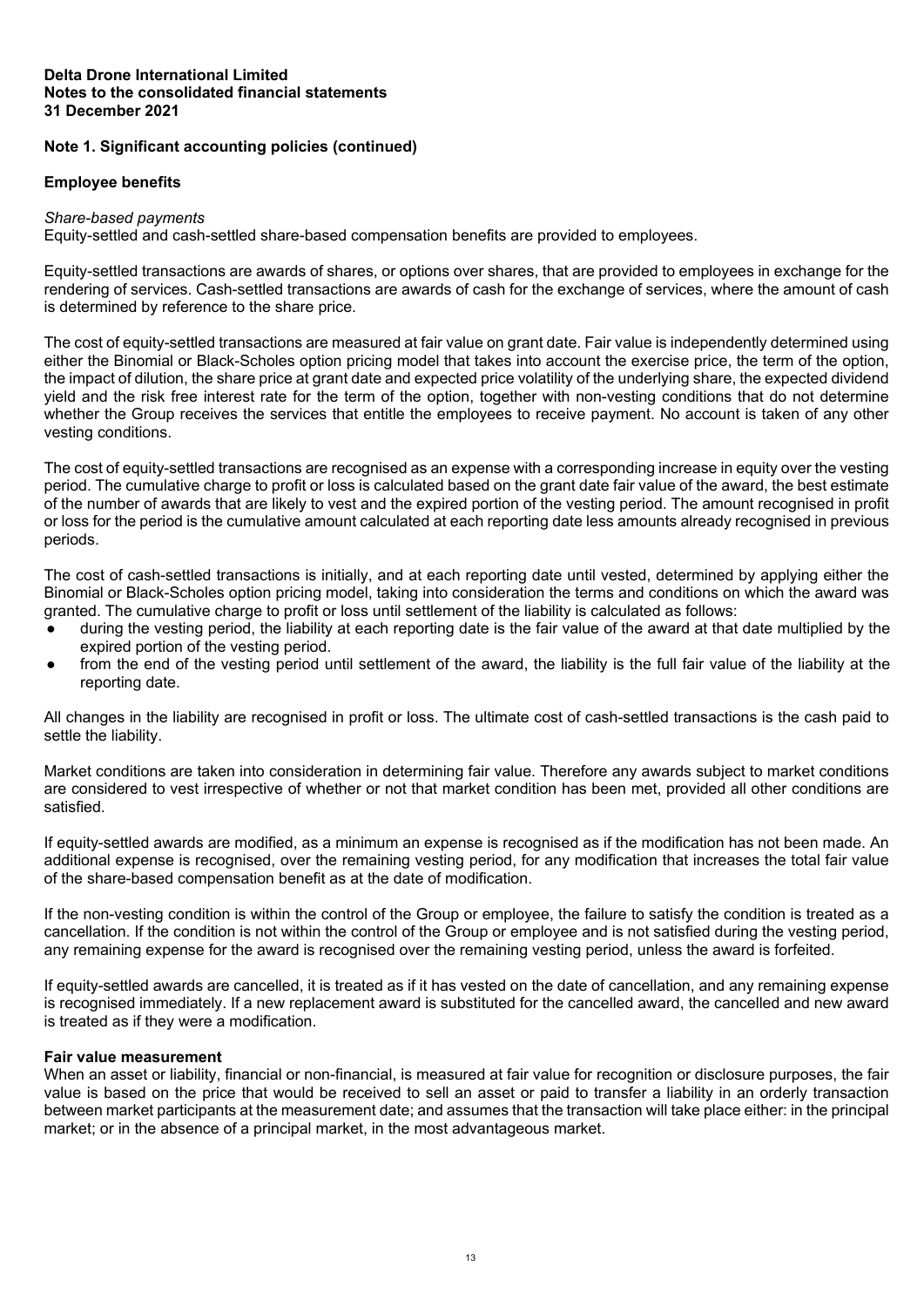# **Note 1. Significant accounting policies (continued)**

# **Employee benefits**

#### *Share-based payments*

Equity-settled and cash-settled share-based compensation benefits are provided to employees.

Equity-settled transactions are awards of shares, or options over shares, that are provided to employees in exchange for the rendering of services. Cash-settled transactions are awards of cash for the exchange of services, where the amount of cash is determined by reference to the share price.

The cost of equity-settled transactions are measured at fair value on grant date. Fair value is independently determined using either the Binomial or Black-Scholes option pricing model that takes into account the exercise price, the term of the option, the impact of dilution, the share price at grant date and expected price volatility of the underlying share, the expected dividend yield and the risk free interest rate for the term of the option, together with non-vesting conditions that do not determine whether the Group receives the services that entitle the employees to receive payment. No account is taken of any other vesting conditions.

The cost of equity-settled transactions are recognised as an expense with a corresponding increase in equity over the vesting period. The cumulative charge to profit or loss is calculated based on the grant date fair value of the award, the best estimate of the number of awards that are likely to vest and the expired portion of the vesting period. The amount recognised in profit or loss for the period is the cumulative amount calculated at each reporting date less amounts already recognised in previous periods.

The cost of cash-settled transactions is initially, and at each reporting date until vested, determined by applying either the Binomial or Black-Scholes option pricing model, taking into consideration the terms and conditions on which the award was granted. The cumulative charge to profit or loss until settlement of the liability is calculated as follows:

- during the vesting period, the liability at each reporting date is the fair value of the award at that date multiplied by the expired portion of the vesting period.
- from the end of the vesting period until settlement of the award, the liability is the full fair value of the liability at the reporting date.

All changes in the liability are recognised in profit or loss. The ultimate cost of cash-settled transactions is the cash paid to settle the liability.

Market conditions are taken into consideration in determining fair value. Therefore any awards subject to market conditions are considered to vest irrespective of whether or not that market condition has been met, provided all other conditions are satisfied.

If equity-settled awards are modified, as a minimum an expense is recognised as if the modification has not been made. An additional expense is recognised, over the remaining vesting period, for any modification that increases the total fair value of the share-based compensation benefit as at the date of modification.

If the non-vesting condition is within the control of the Group or employee, the failure to satisfy the condition is treated as a cancellation. If the condition is not within the control of the Group or employee and is not satisfied during the vesting period, any remaining expense for the award is recognised over the remaining vesting period, unless the award is forfeited.

If equity-settled awards are cancelled, it is treated as if it has vested on the date of cancellation, and any remaining expense is recognised immediately. If a new replacement award is substituted for the cancelled award, the cancelled and new award is treated as if they were a modification.

# **Fair value measurement**

When an asset or liability, financial or non-financial, is measured at fair value for recognition or disclosure purposes, the fair value is based on the price that would be received to sell an asset or paid to transfer a liability in an orderly transaction between market participants at the measurement date; and assumes that the transaction will take place either: in the principal market; or in the absence of a principal market, in the most advantageous market.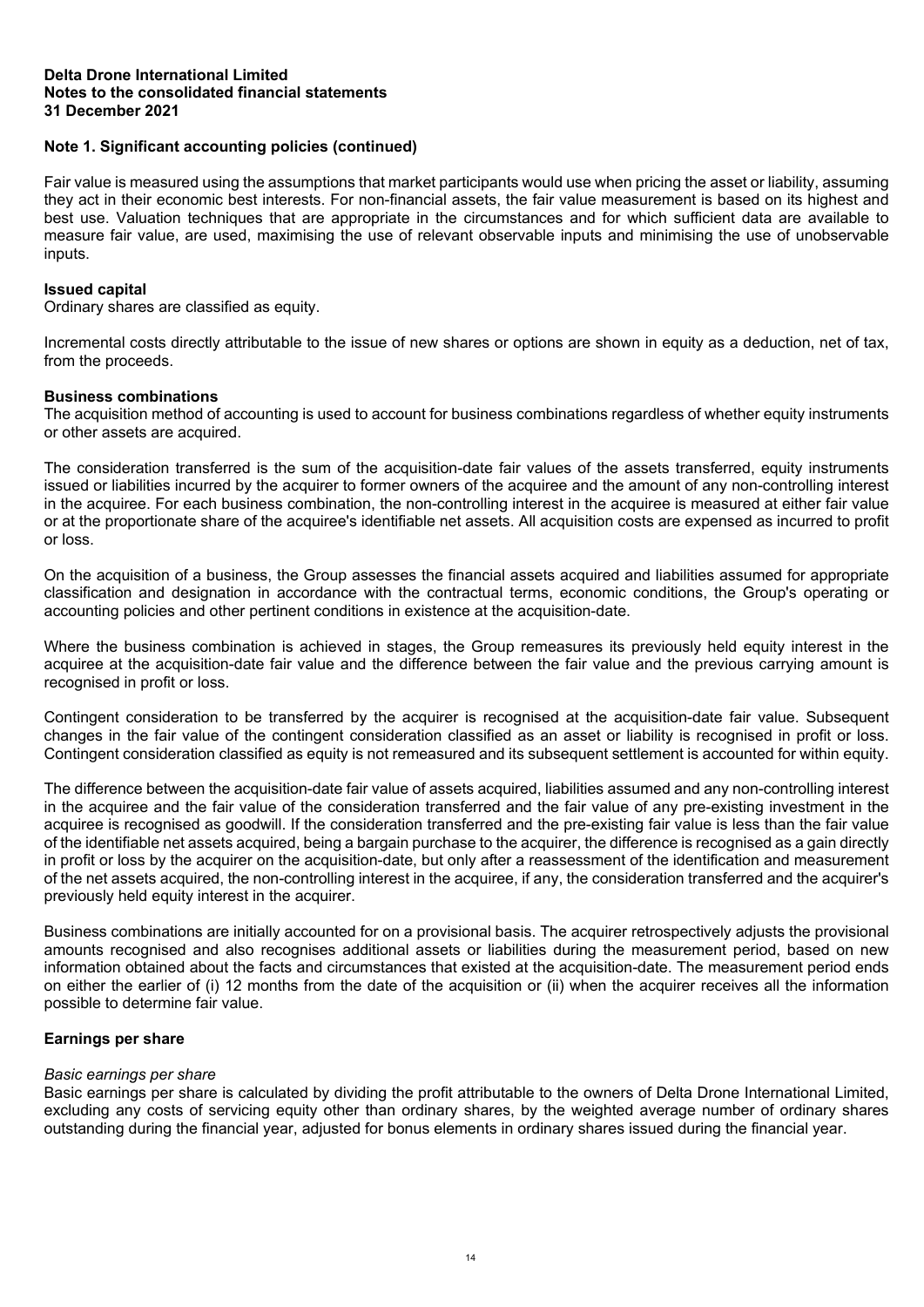# **Note 1. Significant accounting policies (continued)**

Fair value is measured using the assumptions that market participants would use when pricing the asset or liability, assuming they act in their economic best interests. For non-financial assets, the fair value measurement is based on its highest and best use. Valuation techniques that are appropriate in the circumstances and for which sufficient data are available to measure fair value, are used, maximising the use of relevant observable inputs and minimising the use of unobservable inputs.

# **Issued capital**

Ordinary shares are classified as equity.

Incremental costs directly attributable to the issue of new shares or options are shown in equity as a deduction, net of tax, from the proceeds.

# **Business combinations**

The acquisition method of accounting is used to account for business combinations regardless of whether equity instruments or other assets are acquired.

The consideration transferred is the sum of the acquisition-date fair values of the assets transferred, equity instruments issued or liabilities incurred by the acquirer to former owners of the acquiree and the amount of any non-controlling interest in the acquiree. For each business combination, the non-controlling interest in the acquiree is measured at either fair value or at the proportionate share of the acquiree's identifiable net assets. All acquisition costs are expensed as incurred to profit or loss.

On the acquisition of a business, the Group assesses the financial assets acquired and liabilities assumed for appropriate classification and designation in accordance with the contractual terms, economic conditions, the Group's operating or accounting policies and other pertinent conditions in existence at the acquisition-date.

Where the business combination is achieved in stages, the Group remeasures its previously held equity interest in the acquiree at the acquisition-date fair value and the difference between the fair value and the previous carrying amount is recognised in profit or loss.

Contingent consideration to be transferred by the acquirer is recognised at the acquisition-date fair value. Subsequent changes in the fair value of the contingent consideration classified as an asset or liability is recognised in profit or loss. Contingent consideration classified as equity is not remeasured and its subsequent settlement is accounted for within equity.

The difference between the acquisition-date fair value of assets acquired, liabilities assumed and any non-controlling interest in the acquiree and the fair value of the consideration transferred and the fair value of any pre-existing investment in the acquiree is recognised as goodwill. If the consideration transferred and the pre-existing fair value is less than the fair value of the identifiable net assets acquired, being a bargain purchase to the acquirer, the difference is recognised as a gain directly in profit or loss by the acquirer on the acquisition-date, but only after a reassessment of the identification and measurement of the net assets acquired, the non-controlling interest in the acquiree, if any, the consideration transferred and the acquirer's previously held equity interest in the acquirer.

Business combinations are initially accounted for on a provisional basis. The acquirer retrospectively adjusts the provisional amounts recognised and also recognises additional assets or liabilities during the measurement period, based on new information obtained about the facts and circumstances that existed at the acquisition-date. The measurement period ends on either the earlier of (i) 12 months from the date of the acquisition or (ii) when the acquirer receives all the information possible to determine fair value.

# **Earnings per share**

# *Basic earnings per share*

Basic earnings per share is calculated by dividing the profit attributable to the owners of Delta Drone International Limited, excluding any costs of servicing equity other than ordinary shares, by the weighted average number of ordinary shares outstanding during the financial year, adjusted for bonus elements in ordinary shares issued during the financial year.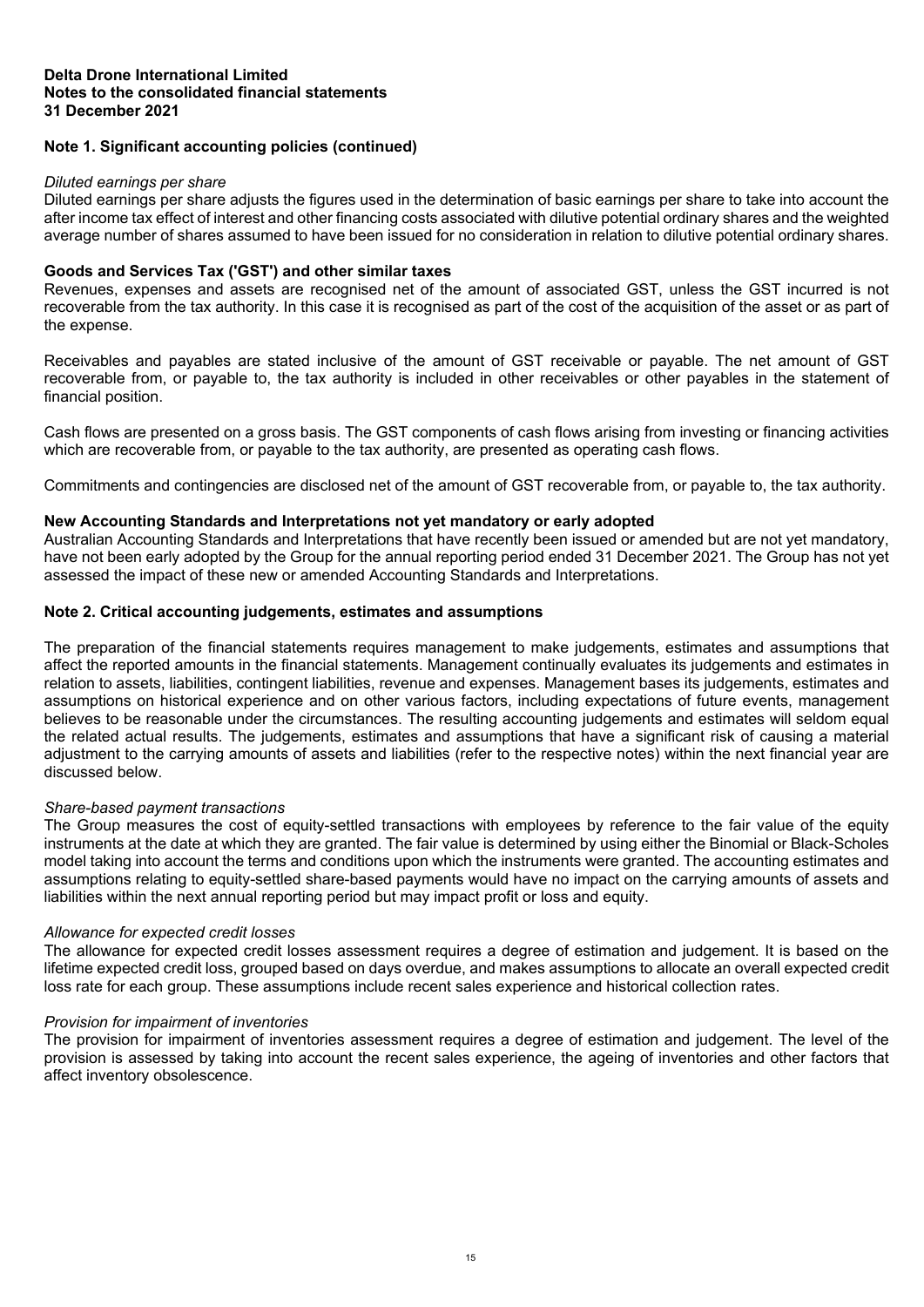# **Note 1. Significant accounting policies (continued)**

#### *Diluted earnings per share*

Diluted earnings per share adjusts the figures used in the determination of basic earnings per share to take into account the after income tax effect of interest and other financing costs associated with dilutive potential ordinary shares and the weighted average number of shares assumed to have been issued for no consideration in relation to dilutive potential ordinary shares.

# **Goods and Services Tax ('GST') and other similar taxes**

Revenues, expenses and assets are recognised net of the amount of associated GST, unless the GST incurred is not recoverable from the tax authority. In this case it is recognised as part of the cost of the acquisition of the asset or as part of the expense.

Receivables and payables are stated inclusive of the amount of GST receivable or payable. The net amount of GST recoverable from, or payable to, the tax authority is included in other receivables or other payables in the statement of financial position.

Cash flows are presented on a gross basis. The GST components of cash flows arising from investing or financing activities which are recoverable from, or payable to the tax authority, are presented as operating cash flows.

Commitments and contingencies are disclosed net of the amount of GST recoverable from, or payable to, the tax authority.

# **New Accounting Standards and Interpretations not yet mandatory or early adopted**

Australian Accounting Standards and Interpretations that have recently been issued or amended but are not yet mandatory, have not been early adopted by the Group for the annual reporting period ended 31 December 2021. The Group has not yet assessed the impact of these new or amended Accounting Standards and Interpretations.

# **Note 2. Critical accounting judgements, estimates and assumptions**

The preparation of the financial statements requires management to make judgements, estimates and assumptions that affect the reported amounts in the financial statements. Management continually evaluates its judgements and estimates in relation to assets, liabilities, contingent liabilities, revenue and expenses. Management bases its judgements, estimates and assumptions on historical experience and on other various factors, including expectations of future events, management believes to be reasonable under the circumstances. The resulting accounting judgements and estimates will seldom equal the related actual results. The judgements, estimates and assumptions that have a significant risk of causing a material adjustment to the carrying amounts of assets and liabilities (refer to the respective notes) within the next financial year are discussed below.

# *Share-based payment transactions*

The Group measures the cost of equity-settled transactions with employees by reference to the fair value of the equity instruments at the date at which they are granted. The fair value is determined by using either the Binomial or Black-Scholes model taking into account the terms and conditions upon which the instruments were granted. The accounting estimates and assumptions relating to equity-settled share-based payments would have no impact on the carrying amounts of assets and liabilities within the next annual reporting period but may impact profit or loss and equity.

# *Allowance for expected credit losses*

The allowance for expected credit losses assessment requires a degree of estimation and judgement. It is based on the lifetime expected credit loss, grouped based on days overdue, and makes assumptions to allocate an overall expected credit loss rate for each group. These assumptions include recent sales experience and historical collection rates.

# *Provision for impairment of inventories*

The provision for impairment of inventories assessment requires a degree of estimation and judgement. The level of the provision is assessed by taking into account the recent sales experience, the ageing of inventories and other factors that affect inventory obsolescence.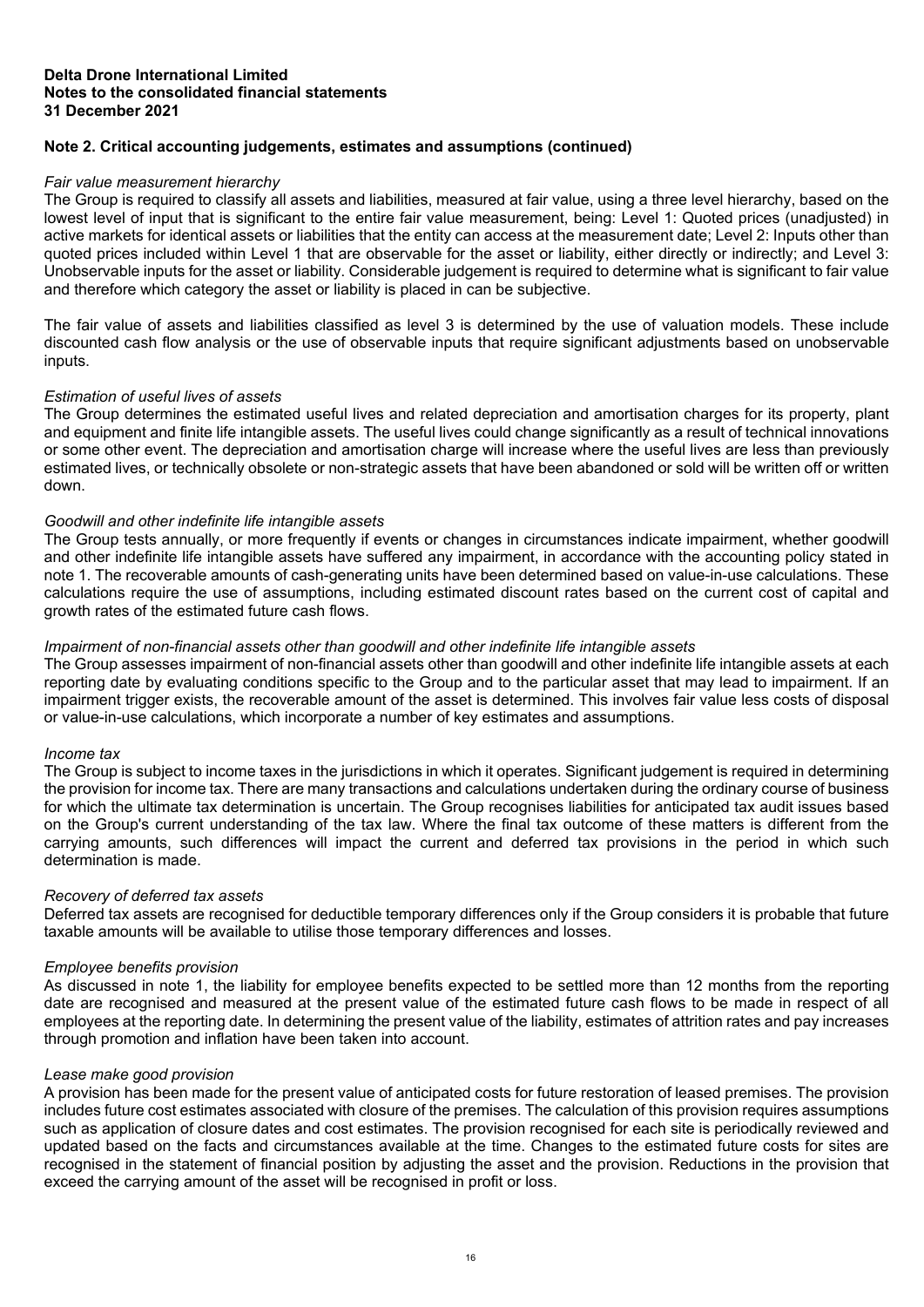# **Note 2. Critical accounting judgements, estimates and assumptions (continued)**

# *Fair value measurement hierarchy*

The Group is required to classify all assets and liabilities, measured at fair value, using a three level hierarchy, based on the lowest level of input that is significant to the entire fair value measurement, being: Level 1: Quoted prices (unadjusted) in active markets for identical assets or liabilities that the entity can access at the measurement date; Level 2: Inputs other than quoted prices included within Level 1 that are observable for the asset or liability, either directly or indirectly; and Level 3: Unobservable inputs for the asset or liability. Considerable judgement is required to determine what is significant to fair value and therefore which category the asset or liability is placed in can be subjective.

The fair value of assets and liabilities classified as level 3 is determined by the use of valuation models. These include discounted cash flow analysis or the use of observable inputs that require significant adjustments based on unobservable inputs.

#### *Estimation of useful lives of assets*

The Group determines the estimated useful lives and related depreciation and amortisation charges for its property, plant and equipment and finite life intangible assets. The useful lives could change significantly as a result of technical innovations or some other event. The depreciation and amortisation charge will increase where the useful lives are less than previously estimated lives, or technically obsolete or non-strategic assets that have been abandoned or sold will be written off or written down.

# *Goodwill and other indefinite life intangible assets*

The Group tests annually, or more frequently if events or changes in circumstances indicate impairment, whether goodwill and other indefinite life intangible assets have suffered any impairment, in accordance with the accounting policy stated in note 1. The recoverable amounts of cash-generating units have been determined based on value-in-use calculations. These calculations require the use of assumptions, including estimated discount rates based on the current cost of capital and growth rates of the estimated future cash flows.

#### *Impairment of non-financial assets other than goodwill and other indefinite life intangible assets*

The Group assesses impairment of non-financial assets other than goodwill and other indefinite life intangible assets at each reporting date by evaluating conditions specific to the Group and to the particular asset that may lead to impairment. If an impairment trigger exists, the recoverable amount of the asset is determined. This involves fair value less costs of disposal or value-in-use calculations, which incorporate a number of key estimates and assumptions.

#### *Income tax*

The Group is subject to income taxes in the jurisdictions in which it operates. Significant judgement is required in determining the provision for income tax. There are many transactions and calculations undertaken during the ordinary course of business for which the ultimate tax determination is uncertain. The Group recognises liabilities for anticipated tax audit issues based on the Group's current understanding of the tax law. Where the final tax outcome of these matters is different from the carrying amounts, such differences will impact the current and deferred tax provisions in the period in which such determination is made.

#### *Recovery of deferred tax assets*

Deferred tax assets are recognised for deductible temporary differences only if the Group considers it is probable that future taxable amounts will be available to utilise those temporary differences and losses.

#### *Employee benefits provision*

As discussed in note 1, the liability for employee benefits expected to be settled more than 12 months from the reporting date are recognised and measured at the present value of the estimated future cash flows to be made in respect of all employees at the reporting date. In determining the present value of the liability, estimates of attrition rates and pay increases through promotion and inflation have been taken into account.

#### *Lease make good provision*

A provision has been made for the present value of anticipated costs for future restoration of leased premises. The provision includes future cost estimates associated with closure of the premises. The calculation of this provision requires assumptions such as application of closure dates and cost estimates. The provision recognised for each site is periodically reviewed and updated based on the facts and circumstances available at the time. Changes to the estimated future costs for sites are recognised in the statement of financial position by adjusting the asset and the provision. Reductions in the provision that exceed the carrying amount of the asset will be recognised in profit or loss.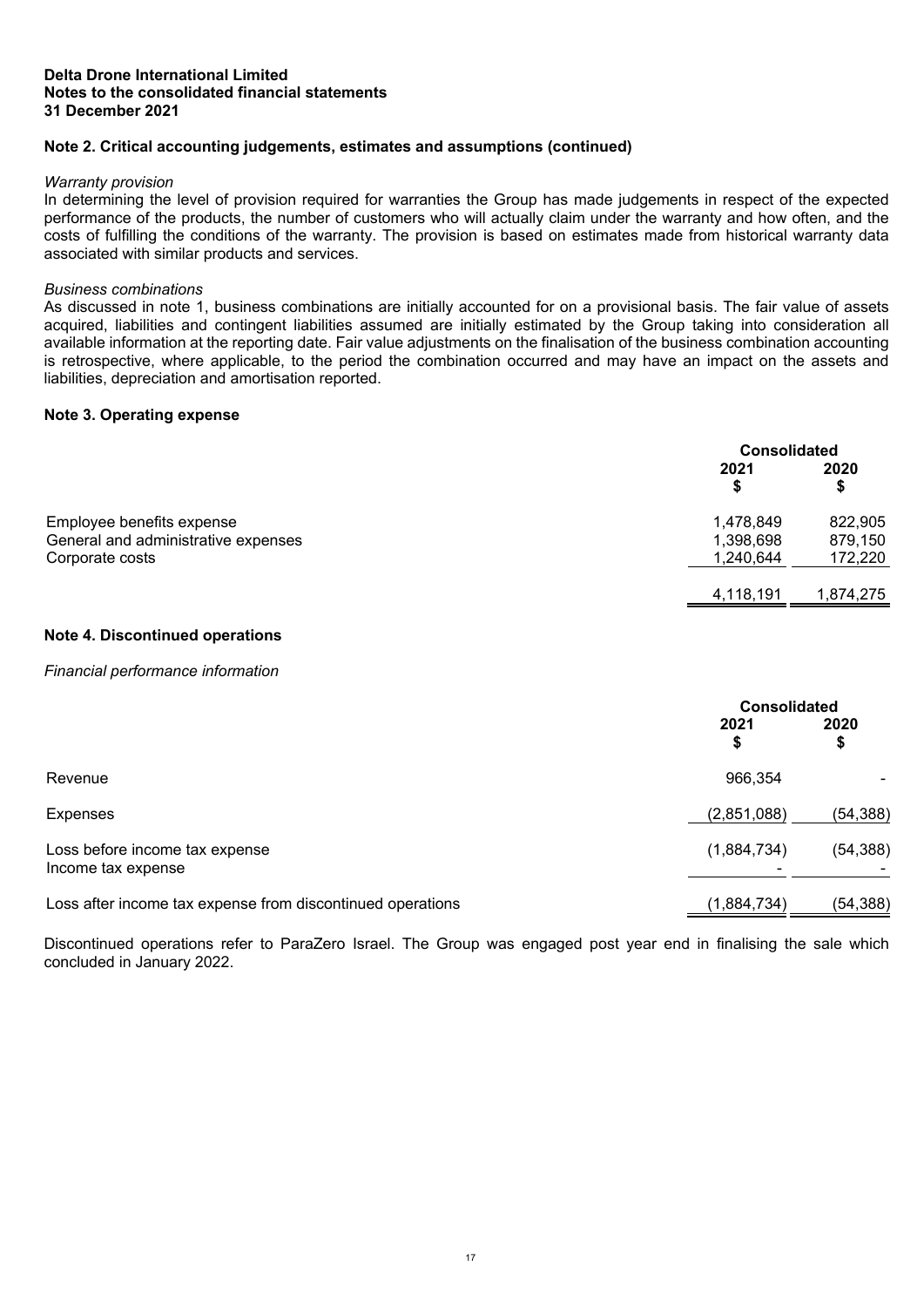# **Note 2. Critical accounting judgements, estimates and assumptions (continued)**

#### *Warranty provision*

In determining the level of provision required for warranties the Group has made judgements in respect of the expected performance of the products, the number of customers who will actually claim under the warranty and how often, and the costs of fulfilling the conditions of the warranty. The provision is based on estimates made from historical warranty data associated with similar products and services.

#### *Business combinations*

As discussed in note 1, business combinations are initially accounted for on a provisional basis. The fair value of assets acquired, liabilities and contingent liabilities assumed are initially estimated by the Group taking into consideration all available information at the reporting date. Fair value adjustments on the finalisation of the business combination accounting is retrospective, where applicable, to the period the combination occurred and may have an impact on the assets and liabilities, depreciation and amortisation reported.

#### **Note 3. Operating expense**

<span id="page-19-0"></span>

|                                                                                     |                                     | <b>Consolidated</b>           |  |
|-------------------------------------------------------------------------------------|-------------------------------------|-------------------------------|--|
|                                                                                     | 2021                                | 2020<br>\$                    |  |
| Employee benefits expense<br>General and administrative expenses<br>Corporate costs | 1,478,849<br>1,398,698<br>1,240,644 | 822,905<br>879,150<br>172,220 |  |
|                                                                                     | 4,118,191                           | 1,874,275                     |  |

# <span id="page-19-1"></span>**Note 4. Discontinued operations**

#### *Financial performance information*

|                                                            | <b>Consolidated</b> |            |
|------------------------------------------------------------|---------------------|------------|
|                                                            | 2021<br>S           | 2020<br>\$ |
| Revenue                                                    | 966,354             |            |
| Expenses                                                   | (2,851,088)         | (54, 388)  |
| Loss before income tax expense<br>Income tax expense       | (1,884,734)         | (54, 388)  |
| Loss after income tax expense from discontinued operations | (1,884,734)         | (54, 388)  |

Discontinued operations refer to ParaZero Israel. The Group was engaged post year end in finalising the sale which concluded in January 2022.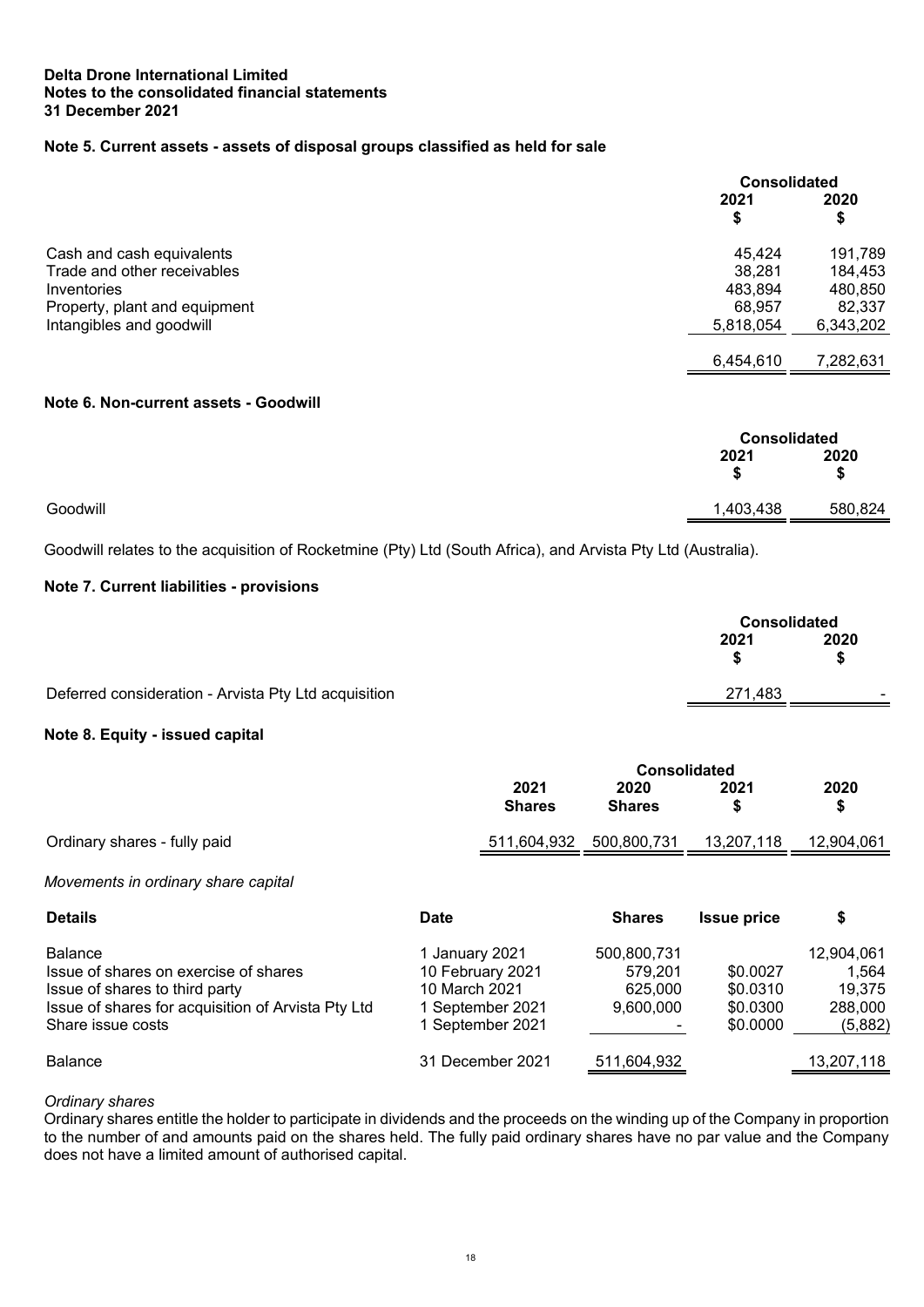# **Note 5. Current assets - assets of disposal groups classified as held for sale**

<span id="page-20-0"></span>

|                               |            | <b>Consolidated</b> |  |
|-------------------------------|------------|---------------------|--|
|                               | 2021<br>\$ | 2020<br>\$          |  |
| Cash and cash equivalents     | 45,424     | 191,789             |  |
| Trade and other receivables   | 38,281     | 184,453             |  |
| Inventories                   | 483,894    | 480,850             |  |
| Property, plant and equipment | 68.957     | 82.337              |  |
| Intangibles and goodwill      | 5,818,054  | 6,343,202           |  |
|                               |            |                     |  |
|                               | 6,454,610  | 7,282,631           |  |

# **Note 6. Non-current assets - Goodwill**

<span id="page-20-1"></span>

|          | <b>Consolidated</b> |            |
|----------|---------------------|------------|
|          | 2021<br>ъ           | 2020<br>\$ |
| Goodwill | 1,403,438           | 580,824    |

Goodwill relates to the acquisition of Rocketmine (Pty) Ltd (South Africa), and Arvista Pty Ltd (Australia).

# **Note 7. Current liabilities - provisions**

<span id="page-20-2"></span>

|                                                      |         | <b>Consolidated</b> |  |
|------------------------------------------------------|---------|---------------------|--|
|                                                      | 2021    | 2020                |  |
| Deferred consideration - Arvista Pty Ltd acquisition | 271.483 | $\sim$              |  |

# <span id="page-20-3"></span>**Note 8. Equity - issued capital**

|                                                                                                                                                                      |                                                                                         | <b>Consolidated</b>                            |                                              |                                                     |
|----------------------------------------------------------------------------------------------------------------------------------------------------------------------|-----------------------------------------------------------------------------------------|------------------------------------------------|----------------------------------------------|-----------------------------------------------------|
|                                                                                                                                                                      | 2021<br><b>Shares</b>                                                                   | 2020<br><b>Shares</b>                          | 2021<br>\$                                   | 2020<br>\$                                          |
| Ordinary shares - fully paid                                                                                                                                         | 511,604,932                                                                             | 500,800,731                                    | 13,207,118                                   | 12,904,061                                          |
| Movements in ordinary share capital                                                                                                                                  |                                                                                         |                                                |                                              |                                                     |
| <b>Details</b>                                                                                                                                                       | <b>Date</b>                                                                             | <b>Shares</b>                                  | <b>Issue price</b>                           | \$                                                  |
| <b>Balance</b><br>Issue of shares on exercise of shares<br>Issue of shares to third party<br>Issue of shares for acquisition of Arvista Pty Ltd<br>Share issue costs | 1 January 2021<br>10 February 2021<br>10 March 2021<br>September 2021<br>September 2021 | 500,800,731<br>579,201<br>625,000<br>9,600,000 | \$0.0027<br>\$0.0310<br>\$0.0300<br>\$0.0000 | 12,904,061<br>1,564<br>19,375<br>288,000<br>(5,882) |
| <b>Balance</b>                                                                                                                                                       | 31 December 2021                                                                        | 511,604,932                                    |                                              | 13,207,118                                          |

# *Ordinary shares*

Ordinary shares entitle the holder to participate in dividends and the proceeds on the winding up of the Company in proportion to the number of and amounts paid on the shares held. The fully paid ordinary shares have no par value and the Company does not have a limited amount of authorised capital.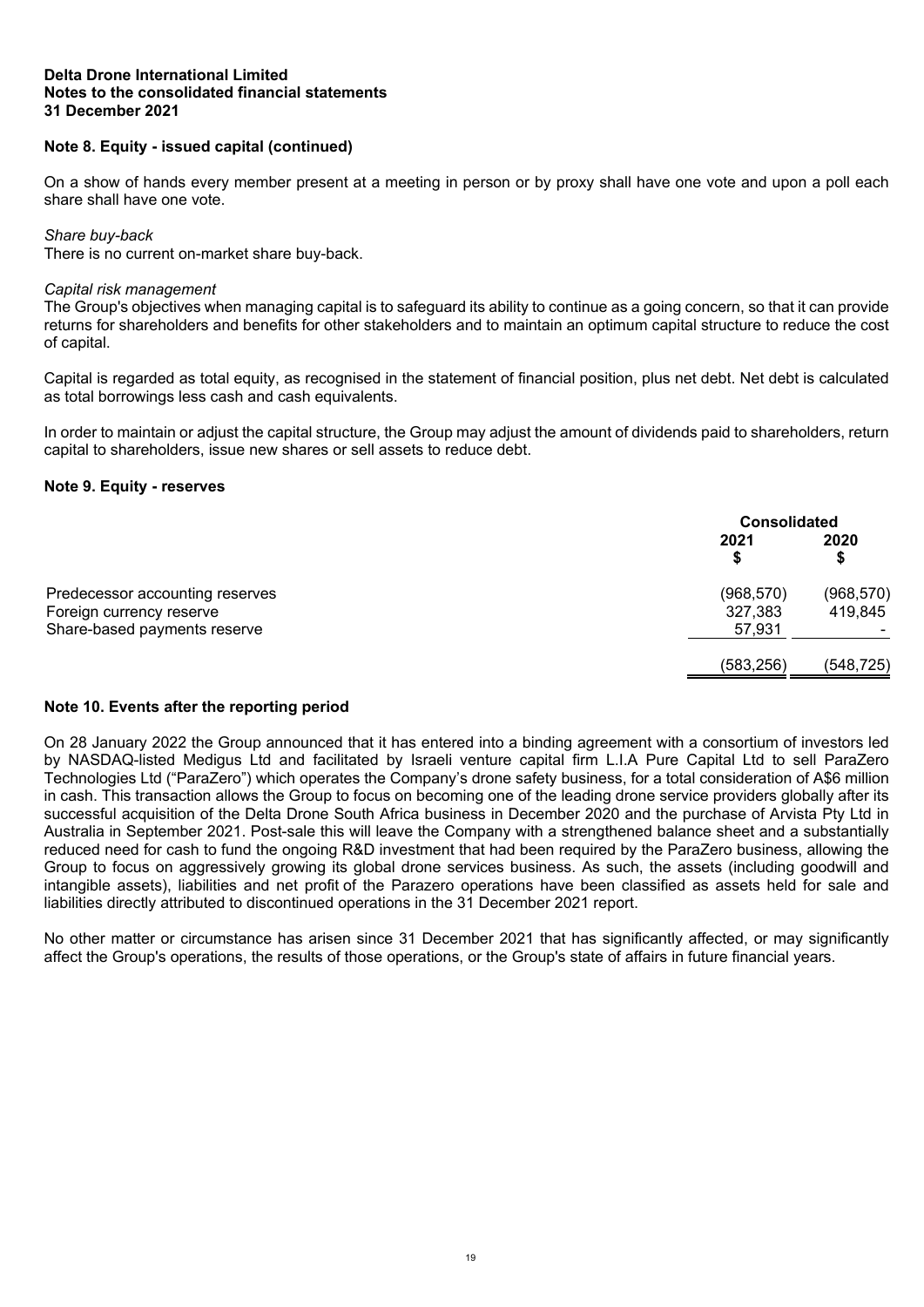# **Note 8. Equity - issued capital (continued)**

On a show of hands every member present at a meeting in person or by proxy shall have one vote and upon a poll each share shall have one vote.

#### *Share buy-back*

There is no current on-market share buy-back.

#### *Capital risk management*

The Group's objectives when managing capital is to safeguard its ability to continue as a going concern, so that it can provide returns for shareholders and benefits for other stakeholders and to maintain an optimum capital structure to reduce the cost of capital.

Capital is regarded as total equity, as recognised in the statement of financial position, plus net debt. Net debt is calculated as total borrowings less cash and cash equivalents.

In order to maintain or adjust the capital structure, the Group may adjust the amount of dividends paid to shareholders, return capital to shareholders, issue new shares or sell assets to reduce debt.

#### <span id="page-21-0"></span>**Note 9. Equity - reserves**

|                                                                                             |                                 | <b>Consolidated</b>   |  |
|---------------------------------------------------------------------------------------------|---------------------------------|-----------------------|--|
|                                                                                             | 2021                            | 2020<br>\$            |  |
| Predecessor accounting reserves<br>Foreign currency reserve<br>Share-based payments reserve | (968, 570)<br>327,383<br>57,931 | (968, 570)<br>419,845 |  |
|                                                                                             | (583, 256)                      | (548, 725)            |  |

# **Note 10. Events after the reporting period**

On 28 January 2022 the Group announced that it has entered into a binding agreement with a consortium of investors led by NASDAQ-listed Medigus Ltd and facilitated by Israeli venture capital firm L.I.A Pure Capital Ltd to sell ParaZero Technologies Ltd ("ParaZero") which operates the Company's drone safety business, for a total consideration of A\$6 million in cash. This transaction allows the Group to focus on becoming one of the leading drone service providers globally after its successful acquisition of the Delta Drone South Africa business in December 2020 and the purchase of Arvista Pty Ltd in Australia in September 2021. Post-sale this will leave the Company with a strengthened balance sheet and a substantially reduced need for cash to fund the ongoing R&D investment that had been required by the ParaZero business, allowing the Group to focus on aggressively growing its global drone services business. As such, the assets (including goodwill and intangible assets), liabilities and net profit of the Parazero operations have been classified as assets held for sale and liabilities directly attributed to discontinued operations in the 31 December 2021 report.

No other matter or circumstance has arisen since 31 December 2021 that has significantly affected, or may significantly affect the Group's operations, the results of those operations, or the Group's state of affairs in future financial years.